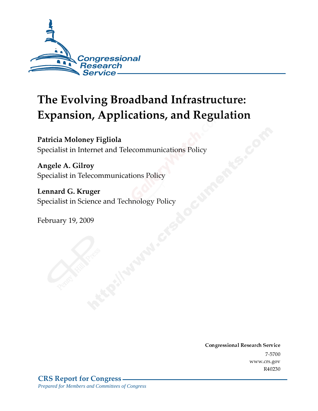

# **The Evolving Broadband Infrastructure: Expansion, Applications, and Regulation**

Patricia Moloney Figliola Specialist in Internet and Telecommunications Policy

Angele A. Gilroy Specialist in Telecommunications Policy

Lennard G. Kruger Specialist in Science and Technology Policy

February 19, 2009

Conglessional Research Service  $7 - 2700$ www.crs.gov R40230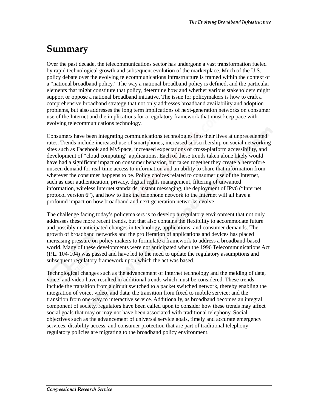# Summary

Over the past decade, the telecommunications sector has undergone a vast transformation fueled by rapid technological growth and subsequent evolution of the marketplace. Much of the U.S. policy debate over the evolving telecommunications infrastructure is framed within the context of a "national broadband policy." The way a national broadband policy is defined, and the particular elements that might constitute that policy, determine how and whether various stakeholders might support or oppose a national broadband initiative. The issue for policymakers is how to craft a comprehensive broadband strategy that not only addresses broadband availability and adoption problems, but also addresses the long term implications of next-generation networks on consumer use of the Internet and the implications for a regulatory framework that must keep pace with evolving telecommunications technology.

Consumers have been integrating communications technologies into their lives at unprecedented rates. Trends include increased use of smartphones, increased subscribership on social networking sites such as Facebook and MySpace, increased expectations of cross-platform accessibility, and development of "cloud computing" applications. Each of these trends taken alone likely would have had a significant impact on consumer behavior, but taken together they create a heretofore unseen demand for real-time access to information and an ability to share that information from wherever the consumer happens to be. Policy choices related to consumer use of the Internet, such as user authentication, privacy, digital rights management, filtering of unwanted information, wireless Internet standards, instant messaging, the deployment of IPv6 ("Internet protocol version 6"), and how to link the telephone network to the Internet will all have a profound impact on how broadband and next generation networks evolve.

The challenge facing today's policymakers is to develop a regulatory environment that not only addresses these more recent trends, but that also contains the flexibility to accommodate future and possibly unanticipated changes in technology, applications, and consumer demands. The growth of broadband networks and the proliferation of applications and devices has placed increasing pressure on policy makers to formulate a framework to address a broadband-based world. Many of these developments were not anticipated when the 1996 Telecommunications Act (P.L. 104-104) was passed and have led to the need to update the regulatory assumptions and subsequent regulatory framework upon which the act was based.

Technological changes such as the advancement of Internet technology and the melding of data, voice, and video have resulted in additional trends which must be considered. These trends include the transition from a circuit switched to a packet switched network, thereby enabling the integration of voice, video, and data; the transition from fixed to mobile service; and the transition from one-way to interactive service. Additionally, as broadband becomes an integral component of society, regulators have been called upon to consider how these trends may affect social goals that may or may not have been associated with traditional telephony. Social objectives such as the advancement of universal service goals, timely and accurate emergency services, disability access, and consumer protection that are part of traditional telephony regulatory policies are migrating to the broadband policy environment.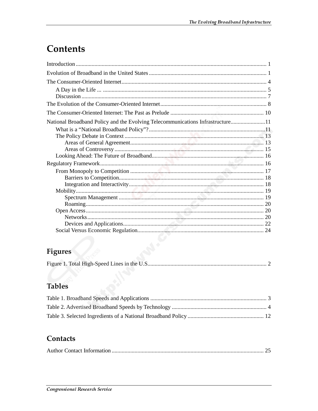# **Contents**

| National Broadband Policy and the Evolving Telecommunications Infrastructure11 |
|--------------------------------------------------------------------------------|
|                                                                                |
|                                                                                |
|                                                                                |
|                                                                                |
|                                                                                |
|                                                                                |
|                                                                                |
|                                                                                |
|                                                                                |
|                                                                                |
|                                                                                |
|                                                                                |
|                                                                                |
|                                                                                |
|                                                                                |
|                                                                                |

# Figures

# **Tables**

## Contacts

|--|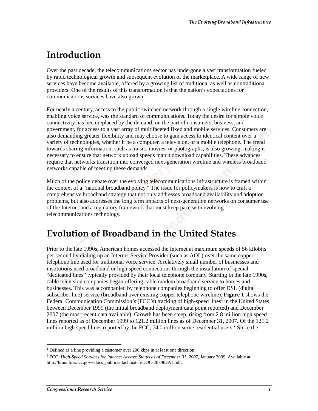# <u>Introduction</u>

Over the past decade, the telecommunications sector has undergone a vast transformation fueled by rapid technological growth and subsequent evolution of the marketplace. A wide range of new services have become available, offered by a growing list of traditional as well as nontraditional providers. One of the results of this transformation is that the nation's expectations for communications services have also grown.

For nearly a century, access to the public switched network through a single wireline connection, enabling voice service, was the standard of communications. Today the desire for simple voice connectivity has been replaced by the demand, on the part of consumers, business, and government, for access to a vast array of multifaceted fixed and mobile services. Consumers are also demanding greater flexibility and may choose to gain access to identical content over a variety of technologies, whether it be a computer, a television, or a mobile telephone. The trend towards sharing information, such as music, movies, or photographs, is also growing, making it necessary to ensure that network upload speeds match download capabilities. These advances require that networks transition into converged next-generation wireline and wireless broadband networks capable of meeting these demands.

Much of the policy debate over the evolving telecommunications infrastructure is framed within the context of a "national broadband policy." The issue for policymakers is how to craft a comprehensive broadband strategy that not only addresses broadband availability and adoption problems, but also addresses the long term impacts of next-generation networks on consumer use of the Internet and a regulatory framework that must keep pace with evolving telecommunications technology.

# **Evolution of Broadband in the United States**

Prior to the late 1990s, American homes accessed the Internet at maximum speeds of 56 kilobits per second by dialing up an Internet Service Provider (such as AOL) over the same copper telephone line used for traditional voice service. A relatively small number of businesses and institutions used broadband or high speed connections through the installation of special "dedicated lines" typically provided by their local telephone company. Starting in the late 1990s, cable television companies began offering cable modem broadband service to homes and businesses. This was accompanied by telephone companies beginning to offer DSL (digital subscriber line) service (broadband over existing copper telephone wireline). **Figure 1** shows the Federal Communication Commission's (FCC's) tracking of high-speed lines<sup>1</sup> in the United States between December 1999 (the initial broadband deployment data point reported) and December 2007 (the most recent data available). Growth has been steep, rising from 2.8 million high speed lines reported as of December 1999 to 121.2 million lines as of December 31, 2007. Of the 121.2 million high speed lines reported by the FCC,  $74.0$  million serve residential users.<sup>2</sup> Since the

 $<sup>1</sup>$  Defined as a line providing a customer over 200 kbps in at least one direction.</sup>

<sup>2</sup> FCC, *High-Speed Services for Internet Access: Status as of December 31, 2007,* January 2009. Available at http://hraunfoss.fcc.gov/edocs\_public/attachmatch/DOC-287962A1.pdf.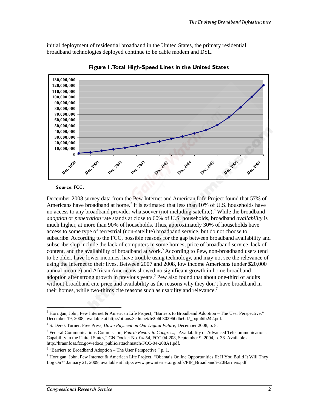initial deployment of residential broadband in the United States, the primary residential broadband technologies deployed continue to be cable modem and DSL.



Figure 1. Total High-Speed Lines in the United States

#### Source: FCC.

December 2008 survey data from the Pew Internet and American Life Project found that 57% of Americans have broadband at home.<sup>3</sup> It is estimated that less than 10% of U.S. households have no access to any broadband provider whatsoever (not including satellite).<sup>4</sup> While the broadband *adoption* or *penetration* rate stands at close to 60% of U.S. households, broadband *availability* is much higher, at more than 90% of households. Thus, approximately 30% of households have access to some type of terrestrial (non-satellite) broadband service, but do not choose to subscribe. According to the FCC, possible reasons for the gap between broadband availability and subscribership include the lack of computers in some homes, price of broadband service, lack of content, and the availability of broadband at work.<sup>5</sup> According to Pew, non-broadband users tend to be older, have lower incomes, have trouble using technology, and may not see the relevance of using the Internet to their lives. Between 2007 and 2008, low income Americans (under \$20,000 annual income) and African Americans showed no significant growth in home broadband adoption after strong growth in previous years.<sup>6</sup> Pew also found that about one-third of adults without broadband cite price and availability as the reasons why they don't have broadband in their homes, while two-thirds cite reasons such as usability and relevance.<sup>7</sup>

 $\overline{a}$ <sup>3</sup> Horrigan, John, Pew Internet & American Life Project, "Barriers to Broadband Adoption – The User Perspective," December 19, 2008, available at http://otrans.3cdn.net/fe2b6b302960dbe0d7\_bqm6ib242.pdf.

<sup>4</sup> S. Derek Turner, Free Press, *Down Payment on Our Digital Future*, December 2008, p. 8.

<sup>5</sup> Federal Communications Commission, *Fourth Report to Congress*, "Availability of Advanced Telecommunications Capability in the United States," GN Docket No. 04-54, FCC 04-208, September 9, 2004, p. 38. Available at http://hraunfoss.fcc.gov/edocs\_public/attachmatch/FCC-04-208A1.pdf.

<sup>&</sup>lt;sup>6</sup> "Barriers to Broadband Adoption - The User Perspective," p. 1.

<sup>7</sup> Horrigan, John, Pew Internet & American Life Project, "Obama's Online Opportunities II: If You Build It Will They Log On?" January 21, 2009, available at http://www.pewinternet.org/pdfs/PIP\_Broadband%20Barriers.pdf.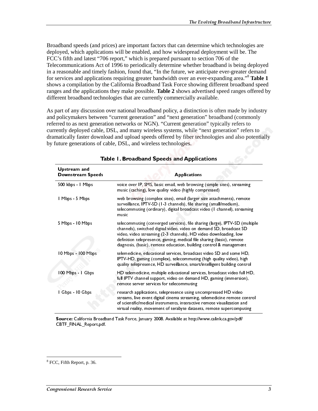Broadband speeds (and prices) are important factors that can determine which technologies are deployed, which applications will be enabled, and how widespread deployment will be. The FCC's fifth and latest "706 report," which is prepared pursuant to section 706 of the Telecommunications Act of 1996 to periodically determine whether broadband is being deployed in a reasonable and timely fashion, found that, "In the future, we anticipate ever-greater demand for services and applications requiring greater bandwidth over an ever-expanding area."<sup>8</sup> **Table 1** shows a compilation by the California Broadband Task Force showing different broadband speed ranges and the applications they make possible. **Table 2** shows advertised speed ranges offered by different broadband technologies that are currently commercially available.

As part of any discussion over national broadband policy, a distinction is often made by industry and policymakers between "current generation" and "next generation" broadband (commonly referred to as next generation networks or NGN). "Current generation" typically refers to currently deployed cable, DSL, and many wireless systems, while "next generation" refers to dramatically faster download and upload speeds offered by fiber technologies and also potentially by future generations of cable, DSL, and wireless technologies.

| <b>Upstream and</b><br><b>Downstream Speeds</b> | <b>Applications</b>                                                                                                                                                                                                                                                                                                                                                    |
|-------------------------------------------------|------------------------------------------------------------------------------------------------------------------------------------------------------------------------------------------------------------------------------------------------------------------------------------------------------------------------------------------------------------------------|
| 500 kbps - I Mbps                               | voice over IP, SMS, basic email, web browsing (simple sites), streaming<br>music (caching), low quality video (highly compressed)                                                                                                                                                                                                                                      |
| Mbps 5 Mbps                                     | web browsing (complex sites), email (larger size attachments), remote<br>surveillance, IPTV-SD (1-3 channels), file sharing (small/medium),<br>telecommuting (ordinary), digital broadcast video (I channel), streaming<br>music                                                                                                                                       |
| 5 Mbps - 10 Mbps                                | telecommuting (converged services), file sharing (large), IPTV-SD (multiple<br>channels), switched digital video, video on demand SD, broadcast SD<br>video, video streaming (2-3 channels), HD video downloading, low<br>definition telepresence, gaming, medical file sharing (basic), remote<br>diagnosis, (basic), remote education, building control & management |
| 10 Mbps - 100 Mbps                              | telemedicine, educational services, broadcast video SD and some HD,<br>IPTV-HD, gaming (complex), telecommuting (high quality video), high<br>quality telepresence, HD surveillance, smart/intelligent building control                                                                                                                                                |
| 100 Mbps - I Gbps                               | HD telemedicine, multiple educational services, broadcast video full HD,<br>full IPTV channel support, video on demand HD, gaming (immersion),<br>remote server services for telecommuting                                                                                                                                                                             |
| Gbps - 10 Gbps                                  | research applications, telepresence using uncompressed HD video<br>streams, live event digital cinema streaming, telemedicine remote control<br>of scientific/medical instruments, interactive remote visualization and<br>virtual reality, movement of terabyte datasets, remote supercomputing                                                                       |
| CBTF_FINAL_Report.pdf.                          | Source: California Broadband Task Force, January 2008. Available at http://www.calink.ca.gov/pdf/                                                                                                                                                                                                                                                                      |
|                                                 |                                                                                                                                                                                                                                                                                                                                                                        |
| CC, Fifth Report, p. 36.                        |                                                                                                                                                                                                                                                                                                                                                                        |
| ıgressional Research Service                    |                                                                                                                                                                                                                                                                                                                                                                        |
|                                                 |                                                                                                                                                                                                                                                                                                                                                                        |
|                                                 |                                                                                                                                                                                                                                                                                                                                                                        |
|                                                 |                                                                                                                                                                                                                                                                                                                                                                        |
|                                                 |                                                                                                                                                                                                                                                                                                                                                                        |
|                                                 |                                                                                                                                                                                                                                                                                                                                                                        |
|                                                 |                                                                                                                                                                                                                                                                                                                                                                        |
|                                                 |                                                                                                                                                                                                                                                                                                                                                                        |
|                                                 |                                                                                                                                                                                                                                                                                                                                                                        |

| Table 1. Broadband Speeds and Applications |  |  |
|--------------------------------------------|--|--|
|                                            |  |  |

 $\overline{a}$ 8 FCC, Fifth Report, p. 36.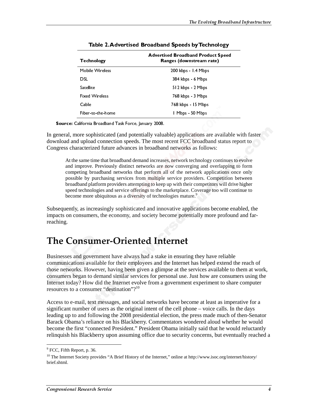| <b>Technology</b>                                                      | <b>Advertised Broadband Product Speed</b><br>Ranges (downstream rate)                                                                                                                                                                                                                                                                                                                                                                                                                                 |
|------------------------------------------------------------------------|-------------------------------------------------------------------------------------------------------------------------------------------------------------------------------------------------------------------------------------------------------------------------------------------------------------------------------------------------------------------------------------------------------------------------------------------------------------------------------------------------------|
| Mobile Wireless                                                        | 200 kbps - 1.4 Mbps                                                                                                                                                                                                                                                                                                                                                                                                                                                                                   |
| <b>DSL</b><br>Satellite                                                | 384 kbps 6 Mbps<br>512 kbps 2 Mbps                                                                                                                                                                                                                                                                                                                                                                                                                                                                    |
| <b>Fixed Wireless</b>                                                  | 768 kbps - 3 Mbps                                                                                                                                                                                                                                                                                                                                                                                                                                                                                     |
| Cable<br>Fiber-to-the-home                                             | 768 kbps - 15 Mbps<br>I Mbps - 50 Mbps                                                                                                                                                                                                                                                                                                                                                                                                                                                                |
| California Broadband Task Force, January 2008.                         |                                                                                                                                                                                                                                                                                                                                                                                                                                                                                                       |
|                                                                        | nore sophisticated (and potentially valuable) applications are available w<br>d upload connection speeds. The most recent FCC broadband status repo<br>aracterized future advances in broadband networks as follows:                                                                                                                                                                                                                                                                                  |
|                                                                        | e same time that broadband demand increases, network technology continues to e<br>mprove. Previously distinct networks are now converging and overlapping to<br>beting broadband networks that perform all of the network applications once<br>ble by purchasing services from multiple service providers. Competition bet<br>lband platform providers attempting to keep up with their competitors will drive l<br>I technologies and service offerings to the marketplace. Coverage too will contin |
| me more ubiquitous as a diversity of technologies mature. <sup>9</sup> | , as increasingly sophisticated and innovative applications become enab<br>onsumers, the economy, and society become potentially more profound                                                                                                                                                                                                                                                                                                                                                        |
| nsumer-Oriented Internet                                               |                                                                                                                                                                                                                                                                                                                                                                                                                                                                                                       |
| a consumer "destination"? <sup>10</sup>                                | nd government have always had a stake in ensuring they have reliable<br>ons available for their employees and the Internet has helped extend the<br>ks. However, having been given a glimpse at the services available to th<br>egan to demand similar services for personal use. Just how are consumer<br>y? How did the Internet evolve from a government experiment to share                                                                                                                       |
|                                                                        | mail, text messages, and social networks have become at least as imperat<br>umber of users as the original intent of the cell phone – voice calls. In th<br>and following the 2008 presidential election, the press made much of th<br>na's reliance on his Blackberry. Commentators wondered aloud whether<br>irst "connected President." President Obama initially said that he would                                                                                                               |
| port, p. 36.                                                           | s Blackberry upon assuming office due to security concerns, but eventual<br>Society provides "A Brief History of the Internet," online at http://www.isoc.org/internet                                                                                                                                                                                                                                                                                                                                |
|                                                                        |                                                                                                                                                                                                                                                                                                                                                                                                                                                                                                       |
| Research Service                                                       |                                                                                                                                                                                                                                                                                                                                                                                                                                                                                                       |
|                                                                        |                                                                                                                                                                                                                                                                                                                                                                                                                                                                                                       |
|                                                                        |                                                                                                                                                                                                                                                                                                                                                                                                                                                                                                       |
|                                                                        |                                                                                                                                                                                                                                                                                                                                                                                                                                                                                                       |
|                                                                        |                                                                                                                                                                                                                                                                                                                                                                                                                                                                                                       |
|                                                                        |                                                                                                                                                                                                                                                                                                                                                                                                                                                                                                       |
|                                                                        |                                                                                                                                                                                                                                                                                                                                                                                                                                                                                                       |
|                                                                        |                                                                                                                                                                                                                                                                                                                                                                                                                                                                                                       |
|                                                                        |                                                                                                                                                                                                                                                                                                                                                                                                                                                                                                       |
|                                                                        |                                                                                                                                                                                                                                                                                                                                                                                                                                                                                                       |
|                                                                        |                                                                                                                                                                                                                                                                                                                                                                                                                                                                                                       |
|                                                                        |                                                                                                                                                                                                                                                                                                                                                                                                                                                                                                       |
|                                                                        |                                                                                                                                                                                                                                                                                                                                                                                                                                                                                                       |
|                                                                        |                                                                                                                                                                                                                                                                                                                                                                                                                                                                                                       |
|                                                                        |                                                                                                                                                                                                                                                                                                                                                                                                                                                                                                       |
|                                                                        |                                                                                                                                                                                                                                                                                                                                                                                                                                                                                                       |
|                                                                        |                                                                                                                                                                                                                                                                                                                                                                                                                                                                                                       |
|                                                                        |                                                                                                                                                                                                                                                                                                                                                                                                                                                                                                       |
|                                                                        |                                                                                                                                                                                                                                                                                                                                                                                                                                                                                                       |
|                                                                        |                                                                                                                                                                                                                                                                                                                                                                                                                                                                                                       |
|                                                                        |                                                                                                                                                                                                                                                                                                                                                                                                                                                                                                       |
|                                                                        |                                                                                                                                                                                                                                                                                                                                                                                                                                                                                                       |
|                                                                        |                                                                                                                                                                                                                                                                                                                                                                                                                                                                                                       |
|                                                                        |                                                                                                                                                                                                                                                                                                                                                                                                                                                                                                       |
|                                                                        |                                                                                                                                                                                                                                                                                                                                                                                                                                                                                                       |
|                                                                        |                                                                                                                                                                                                                                                                                                                                                                                                                                                                                                       |
|                                                                        |                                                                                                                                                                                                                                                                                                                                                                                                                                                                                                       |
|                                                                        |                                                                                                                                                                                                                                                                                                                                                                                                                                                                                                       |
|                                                                        |                                                                                                                                                                                                                                                                                                                                                                                                                                                                                                       |
|                                                                        |                                                                                                                                                                                                                                                                                                                                                                                                                                                                                                       |
|                                                                        |                                                                                                                                                                                                                                                                                                                                                                                                                                                                                                       |
|                                                                        |                                                                                                                                                                                                                                                                                                                                                                                                                                                                                                       |
|                                                                        |                                                                                                                                                                                                                                                                                                                                                                                                                                                                                                       |
|                                                                        |                                                                                                                                                                                                                                                                                                                                                                                                                                                                                                       |
|                                                                        |                                                                                                                                                                                                                                                                                                                                                                                                                                                                                                       |
|                                                                        |                                                                                                                                                                                                                                                                                                                                                                                                                                                                                                       |
|                                                                        |                                                                                                                                                                                                                                                                                                                                                                                                                                                                                                       |
|                                                                        |                                                                                                                                                                                                                                                                                                                                                                                                                                                                                                       |
|                                                                        |                                                                                                                                                                                                                                                                                                                                                                                                                                                                                                       |
|                                                                        |                                                                                                                                                                                                                                                                                                                                                                                                                                                                                                       |
|                                                                        |                                                                                                                                                                                                                                                                                                                                                                                                                                                                                                       |
|                                                                        |                                                                                                                                                                                                                                                                                                                                                                                                                                                                                                       |
|                                                                        |                                                                                                                                                                                                                                                                                                                                                                                                                                                                                                       |
|                                                                        |                                                                                                                                                                                                                                                                                                                                                                                                                                                                                                       |

| Table 2. Advertised Broadband Speeds by Technology |  |  |
|----------------------------------------------------|--|--|
|                                                    |  |  |

Source: California Broadband Task Force, January 2008.

In general, more sophisticated (and potentially valuable) applications are available with faster download and upload connection speeds. The most recent FCC broadband status report to Congress characterized future advances in broadband networks as follows:

At the same time that broadband demand increases, network technology continues to evolve and improve. Previously distinct networks are now converging and overlapping to form competing broadband networks that perform all of the network applications once only possible by purchasing services from multiple service providers. Competition between broadband platform providers attempting to keep up with their competitors will drive higher speed technologies and service offerings to the marketplace. Coverage too will continue to become more ubiquitous as a diversity of technologies mature.<sup>9</sup>

Subsequently, as increasingly sophisticated and innovative applications become enabled, the impacts on consumers, the economy, and society become potentially more profound and farreaching.

# The Consumer-Oriented Internet

Businesses and government have always had a stake in ensuring they have reliable communications available for their employees and the Internet has helped extend the reach of those networks. However, having been given a glimpse at the services available to them at work, consumers began to demand similar services for personal use. Just how are consumers using the Internet today? How did the Internet evolve from a government experiment to share computer resources to a consumer "destination"?10

Access to e-mail, text messages, and social networks have become at least as imperative for a significant number of users as the original intent of the cell phone – voice calls. In the days leading up to and following the 2008 presidential election, the press made much of then-Senator Barack Obama's reliance on his Blackberry. Commentators wondered aloud whether he would become the first "connected President." President Obama initially said that he would reluctantly relinquish his Blackberry upon assuming office due to security concerns, but eventually reached a

<sup>&</sup>lt;sup>9</sup> FCC, Fifth Report, p. 36.

<sup>&</sup>lt;sup>10</sup> The Internet Society provides "A Brief History of the Internet," online at http://www.isoc.org/internet/history/ brief.shtml.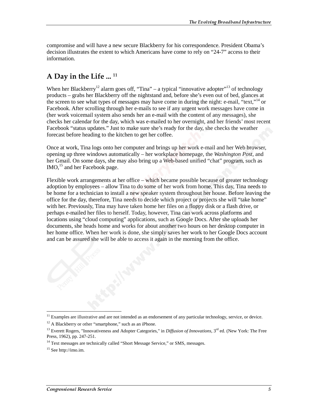compromise and will have a new secure Blackberry for his correspondence. President Obama's decision illustrates the extent to which Americans have come to rely on "24-7" access to their information.

## A Day in the Life ... <sup>11</sup>

When her Blackberry<sup>12</sup> alarm goes off, "Tina" – a typical "innovative adopter"<sup>13</sup> of technology products – grabs her Blackberry off the nightstand and, before she's even out of bed, glances at the screen to see what types of messages may have come in during the night: e-mail, "text,"<sup>14</sup> or Facebook. After scrolling through her e-mails to see if any urgent work messages have come in (her work voicemail system also sends her an e-mail with the content of any messages), she checks her calendar for the day, which was e-mailed to her overnight, and her friends' most recent Facebook "status updates." Just to make sure she's ready for the day, she checks the weather forecast before heading to the kitchen to get her coffee.

Once at work, Tina logs onto her computer and brings up her work e-mail and her Web browser, opening up three windows automatically – her workplace homepage, the *Washington Post*, and her Gmail. On some days, she may also bring up a Web-based unified "chat" program, such as IMO,<sup>15</sup> and her Facebook page.

Flexible work arrangements at her office – which became possible because of greater technology adoption by employees – allow Tina to do some of her work from home. This day, Tina needs to be home for a technician to install a new speaker system throughout her house. Before leaving the office for the day, therefore, Tina needs to decide which project or projects she will "take home" with her. Previously, Tina may have taken home her files on a floppy disk or a flash drive, or perhaps e-mailed her files to herself. Today, however, Tina can work across platforms and locations using "cloud computing" applications, such as Google Docs. After she uploads her documents, she heads home and works for about another two hours on her desktop computer in her home office. When her work is done, she simply saves her work to her Google Docs account and can be assured she will be able to access it again in the morning from the office.

<sup>&</sup>lt;sup>11</sup> Examples are illustrative and are not intended as an endorsement of any particular technology, service, or device.

<sup>&</sup>lt;sup>12</sup> A Blackberry or other "smartphone," such as an iPhone.

<sup>&</sup>lt;sup>13</sup> Everett Rogers, "Innovativeness and Adopter Categories," in *Diffusion of Innovations*,  $3^{rd}$  ed. (New York: The Free Press, 1962), pp. 247-251.

<sup>&</sup>lt;sup>14</sup> Text messages are technically called "Short Message Service," or SMS, messages.

<sup>15</sup> See http://imo.im.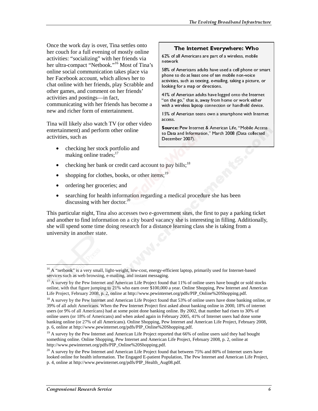Once the work day is over, Tina settles onto her couch for a full evening of mostly online activities: "socializing" with her friends via her ultra-compact "Netbook."<sup>16</sup> Most of Tina's online social communication takes place via her Facebook account, which allows her to chat online with her friends, play Scrabble and other games, and comment on her friends' activities and postings—in fact, communicating with her friends has become a new and richer form of entertainment.

Tina will likely also watch TV (or other video entertainment) and perform other online activities, such as

• checking her stock portfolio and making online trades: $17$ 

### The Internet Everywhere: Who

62% of all Americans are part of a wireless, mobile network

58% of Americans adults have used a cell phone or smart phone to do at least one of ten mobile non-voice activities, such as texting, e-mailing, taking a picture, or looking for a map or directions.

41% of American adults have logged onto the Internet "on the go," that is, away from home or work either with a wireless laptop connection or handheld device.

15% of American teens own a smartphone with Internet access.

Source: Pew Internet & American Life, "Mobile Access to Data and Information," March 2008 (Data collected December 2007).

- checking her bank or credit card account to pay bills;<sup>18</sup>
- shopping for clothes, books, or other items:  $19$
- ordering her groceries; and
- searching for health information regarding a medical procedure she has been discussing with her doctor. $^{20}$

This particular night, Tina also accesses two e-government sites, the first to pay a parking ticket and another to find information on a city board vacancy she is interesting in filling. Additionally, she will spend some time doing research for a distance learning class she is taking from a university in another state.

 $\overline{a}$ <sup>16</sup> A "netbook" is a very small, light-weight, low-cost, energy-efficient laptop, primarily used for Internet-based services such as web browsing, e-mailing, and instant messaging.

<sup>&</sup>lt;sup>17</sup> A survey by the Pew Internet and American Life Project found that 11% of online users have bought or sold stocks online, with that figure jumping to 21% who earn over \$100,000 a year. Online Shopping, Pew Internet and American Life Project, February 2008, p. 2, online at http://www.pewinternet.org/pdfs/PIP\_Online%20Shopping.pdf.

<sup>&</sup>lt;sup>18</sup> A survey by the Pew Internet and American Life Project found that 53% of online users have done banking online, or 39% of all adult Americans. When the Pew Internet Project first asked about banking online in 2000, 18% of internet users (or 9% of all Americans) had at some point done banking online. By 2002, that number had risen to 30% of online users (or 18% of Americans) and when asked again in February 2005, 41% of Internet users had done some banking online (or 27% of all Americans). Online Shopping, Pew Internet and American Life Project, February 2008, p. 6, online at http://www.pewinternet.org/pdfs/PIP\_Online%20Shopping.pdf.

<sup>&</sup>lt;sup>19</sup> A survey by the Pew Internet and American Life Project reported that 66% of online users said they had bought something online. Online Shopping, Pew Internet and American Life Project, February 2008, p. 2, online at http://www.pewinternet.org/pdfs/PIP\_Online%20Shopping.pdf.

<sup>&</sup>lt;sup>20</sup> A survey by the Pew Internet and American Life Project found that between 75% and 80% of Internet users have looked online for health information. The Engaged E-patient Population, The Pew Internet and American Life Project, p. 4, online at http://www.pewinternet.org/pdfs/PIP\_Health\_Aug08.pdf.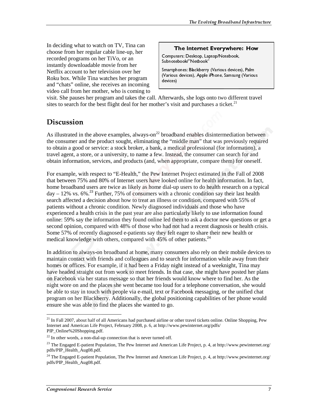In deciding what to watch on TV, Tina can choose from her regular cable line-up, her recorded programs on her TiVo, or an instantly downloadable movie from her Netflix account to her television over her Roku box. While Tina watches her program and "chats" online, she receives an incoming video call from her mother, who is coming to

### The Internet Everywhere: How

Computers: Desktop, Laptop/Notebook, Subnotebook/"Netbook"

Smartphones: Blackberry (Various devices), Palm (Various devices), Apple iPhone, Samsung (Various devices)

visit. She pauses her program and takes the call. Afterwards, she logs onto two different travel sites to search for the best flight deal for her mother's visit and purchases a ticket.<sup>21</sup>

## Discussion

As illustrated in the above examples, always-on<sup>22</sup> broadband enables disintermediation between the consumer and the product sought, eliminating the "middle man" that was previously required to obtain a good or service: a stock broker, a bank, a medical professional (for information), a travel agent, a store, or a university, to name a few. Instead, the consumer can search for and obtain information, services, and products (and, when appropriate, compare them) for oneself.

For example, with respect to "E-Health," the Pew Internet Project estimated in the Fall of 2008 that between 75% and 80% of Internet users have looked online for health information. In fact, home broadband users are twice as likely as home dial-up users to do health research on a typical  $day - 12\%$  vs. 6%.<sup>23</sup> Further, 75% of consumers with a chronic condition say their last health search affected a decision about how to treat an illness or condition, compared with 55% of patients without a chronic condition. Newly diagnosed individuals and those who have experienced a health crisis in the past year are also particularly likely to use information found online: 59% say the information they found online led them to ask a doctor new questions or get a second opinion, compared with 48% of those who had not had a recent diagnosis or health crisis. Some 57% of recently diagnosed e-patients say they felt eager to share their new health or medical knowledge with others, compared with 45% of other patients.<sup>24</sup>

In addition to always-on broadband at home, many consumers also rely on their mobile devices to maintain contact with friends and colleagues and to search for information while away from their homes or offices. For example, if it had been a Friday night instead of a weeknight, Tina may have headed straight out from work to meet friends. In that case, she might have posted her plans on Facebook via her status message so that her friends would know where to find her. As the night wore on and the places she went became too loud for a telephone conversation, she would be able to stay in touch with people via e-mail, text or Facebook messaging, or the unified chat program on her Blackberry. Additionally, the global positioning capabilities of her phone would ensure she was able to find the places she wanted to go.

 $\overline{a}$ <sup>21</sup> In Fall 2007, about half of all Americans had purchased airline or other travel tickets online. Online Shopping, Pew Internet and American Life Project, February 2008, p. 6, at http://www.pewinternet.org/pdfs/ PIP\_Online%20Shopping.pdf.

 $22$  In other words, a non-dial-up connection that is never turned off.

<sup>&</sup>lt;sup>23</sup> The Engaged E-patient Population, The Pew Internet and American Life Project, p. 4, at http://www.pewinternet.org/ pdfs/PIP\_Health\_Aug08.pdf.

<sup>&</sup>lt;sup>24</sup> The Engaged E-patient Population, The Pew Internet and American Life Project, p. 4, at http://www.pewinternet.org/ pdfs/PIP\_Health\_Aug08.pdf.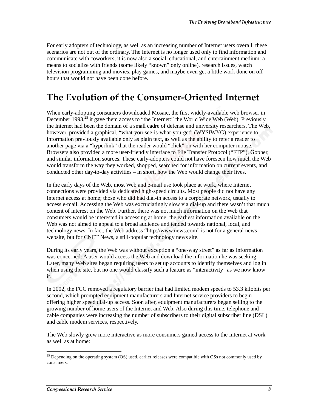For early adopters of technology, as well as an increasing number of Internet users overall, these scenarios are not out of the ordinary. The Internet is no longer used only to find information and communicate with coworkers, it is now also a social, educational, and entertainment medium: a means to socialize with friends (some likely "known" only online), research issues, watch television programming and movies, play games, and maybe even get a little work done on off hours that would not have been done before.

# The Evolution of the Consumer-Oriented Internet

When early-adopting consumers downloaded Mosaic, the first widely-available web browser in December 1993, $^{25}$  it gave them access to "the Internet:" the World Wide Web (Web). Previously, the Internet had been the domain of a small cadre of defense and university researchers. The Web, however, provided a graphical, "what-you-see-is-what-you-get" (WYSIWYG) experience to information previously available only as plain text, as well as the ability to refer a reader to another page via a "hyperlink" that the reader would "click" on with her computer mouse. Browsers also provided a more user-friendly interface to File Transfer Protocol ("FTP"), Gopher, and similar information sources. These early-adopters could not have foreseen how much the Web would transform the way they worked, shopped, searched for information on current events, and conducted other day-to-day activities – in short, how the Web would change their lives.

In the early days of the Web, most Web and e-mail use took place at work, where Internet connections were provided via dedicated high-speed circuits. Most people did not have any Internet access at home; those who did had dial-in access to a corporate network, usually to access e-mail. Accessing the Web was excruciatingly slow via dial-up and there wasn't that much content of interest on the Web. Further, there was not much information on the Web that consumers would be interested in accessing at home: the earliest information available on the Web was not aimed to appeal to a broad audience and tended towards national, local, and technology news. In fact, the Web address "http://www.news.com" is not for a general news website, but for CNET News, a still-popular technology news site.

During its early years, the Web was without exception a "one-way street" as far as information was concerned: A user would access the Web and download the information he was seeking. Later, many Web sites began requiring users to set up accounts to identify themselves and log in when using the site, but no one would classify such a feature as "interactivity" as we now know it.

In 2002, the FCC removed a regulatory barrier that had limited modem speeds to 53.3 kilobits per second, which prompted equipment manufacturers and Internet service providers to begin offering higher speed dial-up access. Soon after, equipment manufacturers began selling to the growing number of home users of the Internet and Web. Also during this time, telephone and cable companies were increasing the number of subscribers to their digital subscriber line (DSL) and cable modem services, respectively.

The Web slowly grew more interactive as more consumers gained access to the Internet at work as well as at home:

<sup>&</sup>lt;sup>25</sup> Depending on the operating system (OS) used, earlier releases were compatible with OSs not commonly used by consumers.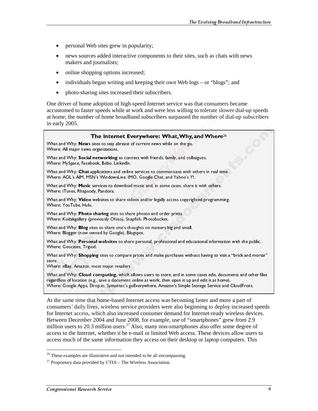- personal Web sites grew in popularity;
- news sources added interactive components to their sites, such as chats with news makers and journalists;
- online shopping options increased;
- individuals began writing and keeping their own Web logs or "blogs"; and
- photo-sharing sites increased their subscribers.

One driver of home adoption of high-speed Internet service was that consumers became accustomed to faster speeds while at work and were less willing to tolerate slower dial-up speeds at home; the number of home broadband subscribers surpassed the number of dial-up subscribers in early 2005.

| The Internet Everywhere: What, Why, and Where <sup>26</sup><br>What and Why: News sites to stay abreast of current news while on the go.<br>Where: All major news organizations.                                                                                                                                              |   |
|-------------------------------------------------------------------------------------------------------------------------------------------------------------------------------------------------------------------------------------------------------------------------------------------------------------------------------|---|
| What and Why: Social networking to connect with friends, family, and colleagues.<br>Where: MySpace, Facebook, Bebo, LinkedIn.                                                                                                                                                                                                 |   |
| What and Why: Chat applications and online services to communicate with others in real time.<br>Where: AOL's AIM, MSN's WindowsLive, IMO, Google Chat, and Yahoo's Y!.<br>What and Why: Music services to download music and, in some cases, share it with others.                                                            |   |
| Where: iTunes, Rhapsody, Pandora.<br>What and Why: Video websites to share videos and/or legally access copyrighted programming.                                                                                                                                                                                              |   |
| Where: YouTube, Hulu.<br>What and Why: Photo sharing sites to share photos and order prints.<br>Where: Kodakgallery (previously Ofoto), Snapfish, Photobucket.                                                                                                                                                                |   |
| What and Why: Blog sites to share one's thoughts on matters big and small.<br>Where: Blogger (now owned by Google), Blogspot.                                                                                                                                                                                                 |   |
| What and Why: Personal websites to share personal, professional and educational information with the public.<br>Where: Geocities, Tripod.                                                                                                                                                                                     |   |
| What and Why: Shopping sites to compare prices and make purchases without having to visit a "brick and mortar"<br>store.<br>Where: eBay, Amazon, most major retailers                                                                                                                                                         |   |
| What and Why: Cloud computing, which allows users to store, and in some cases edit, documents and other files<br>regardless of location (e.g., save a document online at work, then open it up and edit it at home).<br>Where: Google Apps, Drop.io, Symantec's goEverywhere, Amazon's Simple Storage Service and CloudFront. |   |
| At the same time that home-based Internet access was becoming faster and more a part of                                                                                                                                                                                                                                       |   |
| consumers' daily lives, wireless service providers were also beginning to deploy increased speeds<br>for Internet access, which also increased consumer demand for Internet-ready wireless devices.<br>Between December 2004 and June 2008, for example, use of "smartphones" grew from 2.9                                   |   |
| million users to 20.3 million users. <sup>27</sup> Also, many non-smartphones also offer some degree of<br>access to the Internet, whether it be e-mail or limited Web access. These devices allow users to                                                                                                                   |   |
| access much of the same information they access on their desktop or laptop computers. This                                                                                                                                                                                                                                    |   |
| <sup>26</sup> These examples are illustrative and not intended to be all encompassing.<br><sup>27</sup> Proprietary data provided by CTIA – The Wireless Association.                                                                                                                                                         |   |
| Congressional Research Service                                                                                                                                                                                                                                                                                                | 9 |
|                                                                                                                                                                                                                                                                                                                               |   |
|                                                                                                                                                                                                                                                                                                                               |   |
|                                                                                                                                                                                                                                                                                                                               |   |
|                                                                                                                                                                                                                                                                                                                               |   |
|                                                                                                                                                                                                                                                                                                                               |   |
|                                                                                                                                                                                                                                                                                                                               |   |
|                                                                                                                                                                                                                                                                                                                               |   |
|                                                                                                                                                                                                                                                                                                                               |   |
|                                                                                                                                                                                                                                                                                                                               |   |
|                                                                                                                                                                                                                                                                                                                               |   |
|                                                                                                                                                                                                                                                                                                                               |   |
|                                                                                                                                                                                                                                                                                                                               |   |
|                                                                                                                                                                                                                                                                                                                               |   |
|                                                                                                                                                                                                                                                                                                                               |   |
|                                                                                                                                                                                                                                                                                                                               |   |
|                                                                                                                                                                                                                                                                                                                               |   |
|                                                                                                                                                                                                                                                                                                                               |   |
|                                                                                                                                                                                                                                                                                                                               |   |
|                                                                                                                                                                                                                                                                                                                               |   |
|                                                                                                                                                                                                                                                                                                                               |   |
|                                                                                                                                                                                                                                                                                                                               |   |
|                                                                                                                                                                                                                                                                                                                               |   |
|                                                                                                                                                                                                                                                                                                                               |   |
|                                                                                                                                                                                                                                                                                                                               |   |
|                                                                                                                                                                                                                                                                                                                               |   |
|                                                                                                                                                                                                                                                                                                                               |   |
|                                                                                                                                                                                                                                                                                                                               |   |
|                                                                                                                                                                                                                                                                                                                               |   |
|                                                                                                                                                                                                                                                                                                                               |   |
|                                                                                                                                                                                                                                                                                                                               |   |
|                                                                                                                                                                                                                                                                                                                               |   |
|                                                                                                                                                                                                                                                                                                                               |   |
|                                                                                                                                                                                                                                                                                                                               |   |
|                                                                                                                                                                                                                                                                                                                               |   |
|                                                                                                                                                                                                                                                                                                                               |   |
|                                                                                                                                                                                                                                                                                                                               |   |
|                                                                                                                                                                                                                                                                                                                               |   |
|                                                                                                                                                                                                                                                                                                                               |   |
|                                                                                                                                                                                                                                                                                                                               |   |
|                                                                                                                                                                                                                                                                                                                               |   |
|                                                                                                                                                                                                                                                                                                                               |   |
|                                                                                                                                                                                                                                                                                                                               |   |
|                                                                                                                                                                                                                                                                                                                               |   |
|                                                                                                                                                                                                                                                                                                                               |   |
|                                                                                                                                                                                                                                                                                                                               |   |
|                                                                                                                                                                                                                                                                                                                               |   |
|                                                                                                                                                                                                                                                                                                                               |   |
|                                                                                                                                                                                                                                                                                                                               |   |
|                                                                                                                                                                                                                                                                                                                               |   |
|                                                                                                                                                                                                                                                                                                                               |   |
|                                                                                                                                                                                                                                                                                                                               |   |
|                                                                                                                                                                                                                                                                                                                               |   |
|                                                                                                                                                                                                                                                                                                                               |   |
|                                                                                                                                                                                                                                                                                                                               |   |

 $\overline{a}$  $26$  These examples are illustrative and not intended to be all encompassing.

 $^{27}$  Proprietary data provided by CTIA – The Wireless Association.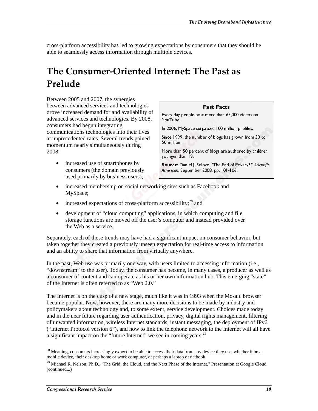cross-platform accessibility has led to growing expectations by consumers that they should be able to seamlessly access information through multiple devices.

# **The Consumer-Oriented Internet: The Past as** Prelude

Between 2005 and 2007, the synergies between advanced services and technologies drove increased demand for and availability of advanced services and technologies. By 2008, consumers had begun integrating communications technologies into their lives at unprecedented rates. Several trends gained momentum nearly simultaneously during 2008:

• increased use of smartphones by consumers (the domain previously used primarily by business users);

### **Fast Facts**

Every day people post more than 65,000 videos on YouTube.

In 2006, MySpace surpassed 100 million profiles.

Since 1999, the number of blogs has grown from 50 to 50 million.

More than 50 percent of blogs are authored by children younger than 19.

- increased membership on social networking sites such as Facebook and MySpace;
- increased expectations of cross-platform accessibility; $^{28}$  and
- development of "cloud computing" applications, in which computing and file storage functions are moved off the user's computer and instead provided over the Web as a service.

Separately, each of these trends may have had a significant impact on consumer behavior, but taken together they created a previously unseen expectation for real-time access to information and an ability to share that information from virtually anywhere.

In the past, Web use was primarily one way, with users limited to accessing information (i.e., "downstream" to the user). Today, the consumer has become, in many cases, a producer as well as a consumer of content and can operate as his or her own information hub. This emerging "state" of the Internet is often referred to as "Web 2.0."

The Internet is on the cusp of a new stage, much like it was in 1993 when the Mosaic browser became popular. Now, however, there are many more decisions to be made by industry and policymakers about technology and, to some extent, service development. Choices made today and in the near future regarding user authentication, privacy, digital rights management, filtering of unwanted information, wireless Internet standards, instant messaging, the deployment of IPv6 ("Internet Protocol version 6"), and how to link the telephone network to the Internet will all have a significant impact on the "future Internet" we see in coming years.<sup>29</sup> YouTube.<br>
In 2006, MySpace surpassed 100 million profiles.<br>
In 2006, MySpace surpassed 100 million profiles.<br>
Since 1999, the number of blogs has grown from S0<br>
Source: Daniel J. Solove, "The End of Privacy?," Sci<br>
More th In 2006, M<br>Since 1995<br>50 million.<br>More than<br>younger the Source: E<br>American, S<br>g sites sincessibil<br>ations, in compute<br>gnificant pectation<br>gnificant pectation<br>in as becomments in as becomments<br>of the singulary since decise<br>t Since 1999, the number of blogs has grown from<br>50 million.<br>Nore than 50 percent of blogs has grown from<br>50 million.<br>Nore than 50 percent of blogs are authored by counger than 19.<br>Nonecian. September 2008, pp. 101-106.<br>Amer 50 million.<br>
More than 190 percent of blogs are authored by childrer<br>
younger than 19.<br>
Soloree, The End of Privacy?," Scientif<br> **American**, September 2008, pp. 101-106.<br> **American**, September 2008, pp. 101-106.<br> **American** More than<br>
younger th<br> **Source: D.**<br> **Source: D.**<br> **Source: D.**<br>
19 sites su<br>
ccessibili<br>
ations, in<br>
compute<br>
gnificant<br>
perificant<br>
perificant<br>
perificant<br>
perificant<br>
in some decisi<br>
rown inf<br>
ke it was<br>
ore decisi<br>
t, younger than 19.<br> **Source:** Daniel J. Solove, "The End of Privacy?," Scientific<br> *American*, September 2008, pp. 101-106.<br>
1g sites such as Facebook and<br>
ccessibility;<sup>28</sup> and<br>
are authored by child computing and file<br>
com Source: Daniel J.<br>American, Septem<br>Ing sites such as<br>ccessibility;<sup>28</sup><br>ations, in whic<br>computer and<br>gnificant impace pectation for really anywhere.<br>users limited to<br>as become, in 1<br>r own informat<br>ke it was in 19<br>ore decisi **Solower:** Camen *y*: Solover. The End of Thracy, Scientifican, September 2008, pp. 101-106.<br>In the constitutiv;<sup>28</sup> and<br>g sites such as Facebook and<br>ccessibility;<sup>28</sup> and<br>attions, in which computing and file<br>computer and American, september 2008, pp. 101-100.<br>
19 sites such as Facebook and<br>
ccessibility;<sup>28</sup> and<br>
ations, in which computing and fil<br>
computer and instead provided ov<br>
gnificant impact on consumer beh<br>
pectation for real-time

 $28$  Meaning, consumers increasingly expect to be able to access their data from any device they use, whether it be a mobile device, their desktop home or work computer, or perhaps a laptop or netbook.

<sup>&</sup>lt;sup>29</sup> Michael R. Nelson, Ph.D., "The Grid, the Cloud, and the Next Phase of the Internet," Presentation at Google Cloud (continued...)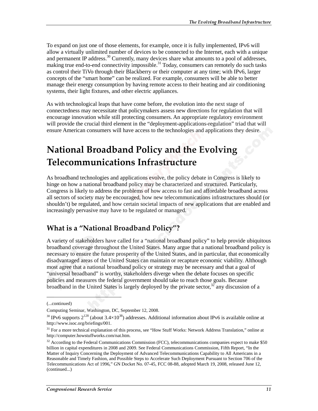To expand on just one of those elements, for example, once it is fully implemented, IPv6 will allow a virtually unlimited number of devices to be connected to the Internet, each with a unique and permanent IP address.<sup>30</sup> Currently, many devices share what amounts to a pool of addresses, making true end-to-end connectivity impossible.<sup>31</sup> Today, consumers can remotely do such tasks as control their TiVo through their Blackberry or their computer at any time; with IPv6, larger concepts of the "smart home" can be realized. For example, consumers will be able to better manage their energy consumption by having remote access to their heating and air conditioning systems, their light fixtures, and other electric appliances.

As with technological leaps that have come before, the evolution into the next stage of connectedness may necessitate that policymakers assess new directions for regulation that will encourage innovation while still protecting consumers. An appropriate regulatory environment will provide the crucial third element in the "deployment-applications-regulation" triad that will ensure American consumers will have access to the technologies and applications they desire.

# **National Broadband Policy and the Evolving** Telecommunications Infrastructure

As broadband technologies and applications evolve, the policy debate in Congress is likely to hinge on how a national broadband policy may be characterized and structured. Particularly, Congress is likely to address the problems of how access to fast and affordable broadband across all sectors of society may be encouraged, how new telecommunications infrastructures should (or shouldn't) be regulated, and how certain societal impacts of new applications that are enabled and increasingly pervasive may have to be regulated or managed.

## What is a "National Broadband Policy"?

A variety of stakeholders have called for a "national broadband policy" to help provide ubiquitous broadband coverage throughout the United States. Many argue that a national broadband policy is necessary to ensure the future prosperity of the United States, and in particular, that economically disadvantaged areas of the United States can maintain or recapture economic viability. Although most agree that a national broadband policy or strategy may be necessary and that a goal of "universal broadband" is worthy, stakeholders diverge when the debate focuses on specific policies and measures the federal government should take to reach those goals. Because broadband in the United States is largely deployed by the private sector, $32$  any discussion of a

j

<sup>(...</sup>continued)

Computing Seminar, Washington, DC, September 12, 2008.

<sup>&</sup>lt;sup>30</sup> IPv6 supports  $2^{128}$  (about 3.4×10<sup>38</sup>) addresses. Additional information about IPv6 is available online at http://www.isoc.org/briefings/001.

 $31$  For a more technical explanation of this process, see "How Stuff Works: Network Address Translation," online at http://computer.howstuffworks.com/nat.htm.

 $32$  According to the Federal Communications Commission (FCC), telecommunications companies expect to make \$50 billion in capital expenditures in 2008 and 2009. See Federal Communications Commission, Fifth Report, "In the Matter of Inquiry Concerning the Deployment of Advanced Telecommunications Capability to All Americans in a Reasonable and Timely Fashion, and Possible Steps to Accelerate Such Deployment Pursuant to Section 706 of the Telecommunications Act of 1996," GN Docket No. 07-45, FCC 08-88, adopted March 19, 2008, released June 12, (continued...)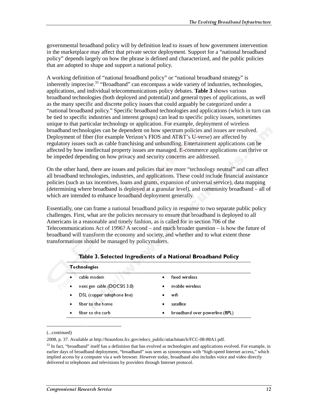governmental broadband policy will by definition lead to issues of how government intervention in the marketplace may affect that private sector deployment. Support for a "national broadband policy" depends largely on how the phrase is defined and characterized, and the public policies that are adopted to shape and support a national policy.

A working definition of "national broadband policy" or "national broadband strategy" is inherently imprecise.<sup>33</sup> "Broadband" can encompass a wide variety of industries, technologies, applications, and individual telecommunications policy debates. **Table 3** shows various broadband technologies (both deployed and potential) and general types of applications, as well as the many specific and discrete policy issues that could arguably be categorized under a "national broadband policy." Specific broadband technologies and applications (which in turn can be tied to specific industries and interest groups) can lead to specific policy issues, sometimes unique to that particular technology or application. For example, deployment of wireless broadband technologies can be dependent on how spectrum policies and issues are resolved. Deployment of fiber (for example Verizon's FIOS and AT&T's U-verse) are affected by regulatory issues such as cable franchising and unbundling. Entertainment applications can be affected by how intellectual property issues are managed. E-commerce applications can thrive or be impeded depending on how privacy and security concerns are addressed.

On the other hand, there are issues and policies that are more "technology neutral" and can affect all broadband technologies, industries, and applications. These could include financial assistance policies (such as tax incentives, loans and grants, expansion of universal service), data mapping (determining where broadband is deployed at a granular level), and community broadband – all of which are intended to enhance broadband deployment generally.

Essentially, one can frame a national broadband policy in response to two separate public policy challenges. First, what are the policies necessary to ensure that broadband is deployed to all Americans in a reasonable and timely fashion, as is called for in section 706 of the Telecommunications Act of 1996? A second – and much broader question – is how the future of broadband will transform the economy and society, and whether and to what extent those transformations should be managed by policymakers.

| $\bullet$ | <b>Technologies</b> | cable modem<br>next gen cable (DOCSIS 3.0)<br>DSL (copper telephone line)<br>fiber to the home<br>fiber to the curb                                                                                                                                                                                                                                                                                                                                                                    | $\bullet$<br>٠<br>٠ | fixed wireless<br>mobile wireless<br>wifi<br>satellite<br>broadband over powerline (BPL) |  |
|-----------|---------------------|----------------------------------------------------------------------------------------------------------------------------------------------------------------------------------------------------------------------------------------------------------------------------------------------------------------------------------------------------------------------------------------------------------------------------------------------------------------------------------------|---------------------|------------------------------------------------------------------------------------------|--|
| inued)    |                     | 0.37. Available at http://hraunfoss.fcc.gov/edocs_public/attachmatch/FCC-08-88A1.pdf.<br>ct, "broadband" itself has a definition that has evolved as technologies and applications evolved. For e<br>days of broadband deployment, "broadband" was seen as synonymous with "high-speed Internet acce<br>d access by a computer via a web browser. However today, broadband also includes voice and video d<br>ed to telephones and televisions by providers through Internet protocol. |                     |                                                                                          |  |
|           |                     | essional Research Service                                                                                                                                                                                                                                                                                                                                                                                                                                                              |                     |                                                                                          |  |
|           |                     |                                                                                                                                                                                                                                                                                                                                                                                                                                                                                        |                     |                                                                                          |  |
|           |                     |                                                                                                                                                                                                                                                                                                                                                                                                                                                                                        |                     |                                                                                          |  |
|           |                     |                                                                                                                                                                                                                                                                                                                                                                                                                                                                                        |                     |                                                                                          |  |
|           |                     |                                                                                                                                                                                                                                                                                                                                                                                                                                                                                        |                     |                                                                                          |  |
|           |                     |                                                                                                                                                                                                                                                                                                                                                                                                                                                                                        |                     |                                                                                          |  |
|           |                     |                                                                                                                                                                                                                                                                                                                                                                                                                                                                                        |                     |                                                                                          |  |
|           |                     |                                                                                                                                                                                                                                                                                                                                                                                                                                                                                        |                     |                                                                                          |  |
|           |                     |                                                                                                                                                                                                                                                                                                                                                                                                                                                                                        |                     |                                                                                          |  |
|           |                     |                                                                                                                                                                                                                                                                                                                                                                                                                                                                                        |                     |                                                                                          |  |
|           |                     |                                                                                                                                                                                                                                                                                                                                                                                                                                                                                        |                     |                                                                                          |  |
|           |                     |                                                                                                                                                                                                                                                                                                                                                                                                                                                                                        |                     |                                                                                          |  |
|           |                     |                                                                                                                                                                                                                                                                                                                                                                                                                                                                                        |                     |                                                                                          |  |
|           |                     |                                                                                                                                                                                                                                                                                                                                                                                                                                                                                        |                     |                                                                                          |  |
|           |                     |                                                                                                                                                                                                                                                                                                                                                                                                                                                                                        |                     |                                                                                          |  |
|           |                     |                                                                                                                                                                                                                                                                                                                                                                                                                                                                                        |                     |                                                                                          |  |
|           |                     |                                                                                                                                                                                                                                                                                                                                                                                                                                                                                        |                     |                                                                                          |  |
|           |                     |                                                                                                                                                                                                                                                                                                                                                                                                                                                                                        |                     |                                                                                          |  |

Table 3. Selected Ingredients of a National Broadband Policy

#### (...continued)

 $\overline{a}$ 

2008, p. 37. Available at http://hraunfoss.fcc.gov/edocs\_public/attachmatch/FCC-08-88A1.pdf.

fiber to the curb<br>fiber to the curb<br>lable at http://hrau<br>pand" itself has a doadband deployme<br>*i* a computer via a v<br>hones and televisid<br>Research Service Figure 12 and 2012<br>able at http://hrau<br>band" itself has a badband deploym<br>a computer via a<br>hones and televis:<br>Research Service broadba<br>chmatch<br>chmologi<br>monymo<br>proadbar<br>et protoc broadband over present (BPL)<br>hechmatch/FCC-08-88A1.pdf.<br>chnologies and applications evolve<br>nonymous with "high-speed Inter-<br>proadband also includes voice and<br>et protocol.  $33$  In fact, "broadband" itself has a definition that has evolved as technologies and applications evolved. For example, in earlier days of broadband deployment, "broadband" was seen as synonymous with "high-speed Internet access," which implied access by a computer via a web browser. However today, broadband also includes voice and video directly delivered to telephones and televisions by providers through Internet protocol.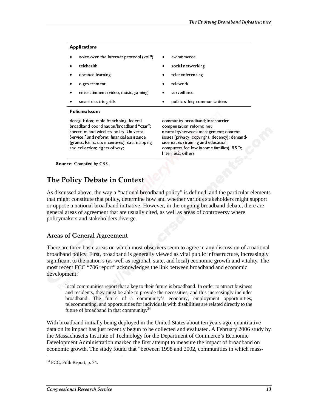| <b>Applications</b><br>voice over the Internet protocol (volP)                                                                                                                                                                                                                                                                                                                                                                             | e-commerce                                                                                                                                                                                                                                                                                                                                                               |
|--------------------------------------------------------------------------------------------------------------------------------------------------------------------------------------------------------------------------------------------------------------------------------------------------------------------------------------------------------------------------------------------------------------------------------------------|--------------------------------------------------------------------------------------------------------------------------------------------------------------------------------------------------------------------------------------------------------------------------------------------------------------------------------------------------------------------------|
| telehealth                                                                                                                                                                                                                                                                                                                                                                                                                                 | social networking                                                                                                                                                                                                                                                                                                                                                        |
| distance learning<br>٠<br>e-government                                                                                                                                                                                                                                                                                                                                                                                                     | teleconferencing<br>telework                                                                                                                                                                                                                                                                                                                                             |
| entertainment (video, music, gaming)<br>smart electric grids                                                                                                                                                                                                                                                                                                                                                                               | surveillance<br>public safety communications                                                                                                                                                                                                                                                                                                                             |
| <b>Policies/Issues</b><br>deregulation; cable franchising; federal                                                                                                                                                                                                                                                                                                                                                                         | community broadband; intercarrier                                                                                                                                                                                                                                                                                                                                        |
| broadband coordination/broadband "czar";<br>spectrum and wireless policy; Universal<br>Service Fund reform; financial assistance                                                                                                                                                                                                                                                                                                           | compensation reform; net<br>neutrality/network management; content<br>issues (privacy, copyright, decency); demand-                                                                                                                                                                                                                                                      |
| (grants, loans, tax incentives); data mapping<br>and collection; rights of way;                                                                                                                                                                                                                                                                                                                                                            | side issues (training and education,<br>computers for low income families); R&D<br>Internet2; others                                                                                                                                                                                                                                                                     |
| Source: Compiled by CRS.                                                                                                                                                                                                                                                                                                                                                                                                                   |                                                                                                                                                                                                                                                                                                                                                                          |
| e Policy Debate in Context                                                                                                                                                                                                                                                                                                                                                                                                                 |                                                                                                                                                                                                                                                                                                                                                                          |
| discussed above, the way a "national broadband policy" is defined, and the particular<br>might constitute that policy, determine how and whether various stakeholders might<br>ppose a national broadband initiative. However, in the ongoing broadband debate, the                                                                                                                                                                        |                                                                                                                                                                                                                                                                                                                                                                          |
| eral areas of agreement that are usually cited, as well as areas of controversy where<br>cymakers and stakeholders diverge.                                                                                                                                                                                                                                                                                                                |                                                                                                                                                                                                                                                                                                                                                                          |
| eas of General Agreement                                                                                                                                                                                                                                                                                                                                                                                                                   |                                                                                                                                                                                                                                                                                                                                                                          |
| re are three basic areas on which most observers seem to agree in any discussion of a<br>adband policy. First, broadband is generally viewed as vital public infrastructure, incr<br>ificant to the nation's (as well as regional, state, and local) economic growth and vita<br>t recent FCC "706 report" acknowledges the link between broadband and economic<br>elopment:                                                               |                                                                                                                                                                                                                                                                                                                                                                          |
| future of broadband in that community. <sup>34</sup>                                                                                                                                                                                                                                                                                                                                                                                       | local communities report that a key to their future is broadband. In order to attract busines<br>and residents, they must be able to provide the necessities, and this increasingly include<br>broadband. The future of a community's economy, employment opportunities<br>telecommuting, and opportunities for individuals with disabilities are related directly to th |
| h broadband initially being deployed in the United States about ten years ago, quantit<br>on its impact has just recently begun to be collected and evaluated. A February 2006<br>Massachusetts Institute of Technology for the Department of Commerce's Economic<br>elopment Administration marked the first attempt to measure the impact of broadban<br>nomic growth. The study found that "between 1998 and 2002, communities in which |                                                                                                                                                                                                                                                                                                                                                                          |
| CC, Fifth Report, p. 74.                                                                                                                                                                                                                                                                                                                                                                                                                   |                                                                                                                                                                                                                                                                                                                                                                          |
| gressional Research Service                                                                                                                                                                                                                                                                                                                                                                                                                |                                                                                                                                                                                                                                                                                                                                                                          |
|                                                                                                                                                                                                                                                                                                                                                                                                                                            |                                                                                                                                                                                                                                                                                                                                                                          |
|                                                                                                                                                                                                                                                                                                                                                                                                                                            |                                                                                                                                                                                                                                                                                                                                                                          |
|                                                                                                                                                                                                                                                                                                                                                                                                                                            |                                                                                                                                                                                                                                                                                                                                                                          |
|                                                                                                                                                                                                                                                                                                                                                                                                                                            |                                                                                                                                                                                                                                                                                                                                                                          |
|                                                                                                                                                                                                                                                                                                                                                                                                                                            |                                                                                                                                                                                                                                                                                                                                                                          |
|                                                                                                                                                                                                                                                                                                                                                                                                                                            |                                                                                                                                                                                                                                                                                                                                                                          |
|                                                                                                                                                                                                                                                                                                                                                                                                                                            |                                                                                                                                                                                                                                                                                                                                                                          |
|                                                                                                                                                                                                                                                                                                                                                                                                                                            |                                                                                                                                                                                                                                                                                                                                                                          |
|                                                                                                                                                                                                                                                                                                                                                                                                                                            |                                                                                                                                                                                                                                                                                                                                                                          |
|                                                                                                                                                                                                                                                                                                                                                                                                                                            |                                                                                                                                                                                                                                                                                                                                                                          |
|                                                                                                                                                                                                                                                                                                                                                                                                                                            |                                                                                                                                                                                                                                                                                                                                                                          |
|                                                                                                                                                                                                                                                                                                                                                                                                                                            |                                                                                                                                                                                                                                                                                                                                                                          |
|                                                                                                                                                                                                                                                                                                                                                                                                                                            |                                                                                                                                                                                                                                                                                                                                                                          |
|                                                                                                                                                                                                                                                                                                                                                                                                                                            |                                                                                                                                                                                                                                                                                                                                                                          |
|                                                                                                                                                                                                                                                                                                                                                                                                                                            |                                                                                                                                                                                                                                                                                                                                                                          |
|                                                                                                                                                                                                                                                                                                                                                                                                                                            |                                                                                                                                                                                                                                                                                                                                                                          |
|                                                                                                                                                                                                                                                                                                                                                                                                                                            |                                                                                                                                                                                                                                                                                                                                                                          |
|                                                                                                                                                                                                                                                                                                                                                                                                                                            |                                                                                                                                                                                                                                                                                                                                                                          |
|                                                                                                                                                                                                                                                                                                                                                                                                                                            |                                                                                                                                                                                                                                                                                                                                                                          |
|                                                                                                                                                                                                                                                                                                                                                                                                                                            |                                                                                                                                                                                                                                                                                                                                                                          |
|                                                                                                                                                                                                                                                                                                                                                                                                                                            |                                                                                                                                                                                                                                                                                                                                                                          |
|                                                                                                                                                                                                                                                                                                                                                                                                                                            |                                                                                                                                                                                                                                                                                                                                                                          |
|                                                                                                                                                                                                                                                                                                                                                                                                                                            |                                                                                                                                                                                                                                                                                                                                                                          |
|                                                                                                                                                                                                                                                                                                                                                                                                                                            |                                                                                                                                                                                                                                                                                                                                                                          |
|                                                                                                                                                                                                                                                                                                                                                                                                                                            |                                                                                                                                                                                                                                                                                                                                                                          |
|                                                                                                                                                                                                                                                                                                                                                                                                                                            |                                                                                                                                                                                                                                                                                                                                                                          |
|                                                                                                                                                                                                                                                                                                                                                                                                                                            |                                                                                                                                                                                                                                                                                                                                                                          |
|                                                                                                                                                                                                                                                                                                                                                                                                                                            |                                                                                                                                                                                                                                                                                                                                                                          |
|                                                                                                                                                                                                                                                                                                                                                                                                                                            |                                                                                                                                                                                                                                                                                                                                                                          |
|                                                                                                                                                                                                                                                                                                                                                                                                                                            |                                                                                                                                                                                                                                                                                                                                                                          |
|                                                                                                                                                                                                                                                                                                                                                                                                                                            |                                                                                                                                                                                                                                                                                                                                                                          |
|                                                                                                                                                                                                                                                                                                                                                                                                                                            |                                                                                                                                                                                                                                                                                                                                                                          |
|                                                                                                                                                                                                                                                                                                                                                                                                                                            |                                                                                                                                                                                                                                                                                                                                                                          |
|                                                                                                                                                                                                                                                                                                                                                                                                                                            |                                                                                                                                                                                                                                                                                                                                                                          |
|                                                                                                                                                                                                                                                                                                                                                                                                                                            |                                                                                                                                                                                                                                                                                                                                                                          |
|                                                                                                                                                                                                                                                                                                                                                                                                                                            |                                                                                                                                                                                                                                                                                                                                                                          |
|                                                                                                                                                                                                                                                                                                                                                                                                                                            |                                                                                                                                                                                                                                                                                                                                                                          |
|                                                                                                                                                                                                                                                                                                                                                                                                                                            |                                                                                                                                                                                                                                                                                                                                                                          |
|                                                                                                                                                                                                                                                                                                                                                                                                                                            |                                                                                                                                                                                                                                                                                                                                                                          |
|                                                                                                                                                                                                                                                                                                                                                                                                                                            |                                                                                                                                                                                                                                                                                                                                                                          |
|                                                                                                                                                                                                                                                                                                                                                                                                                                            |                                                                                                                                                                                                                                                                                                                                                                          |
|                                                                                                                                                                                                                                                                                                                                                                                                                                            |                                                                                                                                                                                                                                                                                                                                                                          |
|                                                                                                                                                                                                                                                                                                                                                                                                                                            |                                                                                                                                                                                                                                                                                                                                                                          |
|                                                                                                                                                                                                                                                                                                                                                                                                                                            |                                                                                                                                                                                                                                                                                                                                                                          |
|                                                                                                                                                                                                                                                                                                                                                                                                                                            |                                                                                                                                                                                                                                                                                                                                                                          |
|                                                                                                                                                                                                                                                                                                                                                                                                                                            |                                                                                                                                                                                                                                                                                                                                                                          |
|                                                                                                                                                                                                                                                                                                                                                                                                                                            |                                                                                                                                                                                                                                                                                                                                                                          |

## The Policy Debate in Context

Service Fund reform; financial assistance<br>Service Fund reform; financial assistance<br>(grants, loans, tax incentives); data mapp<br>and collection; rights of way;<br><br>**EXECOMBE DEVALUAT EXECOMBEND**<br>**EXECOMBEND WIRE 2018** and inclu (grants, loans, tax incentives); data mappi<br>(grants, loans, tax incentives); data mappi<br>and collection; rights of way;<br>e: Compiled by CRS.<br><br>Constitute that policy, determine la anational broconstitute that policy, determin and collection; rights of way;<br>
e: Compiled by CRS.<br>
<br> **E:** Compiled by CRS.<br>
<br> **Iicy Debate in Context**<br>
sed above, the way a "national broad<br>
constitute that policy, determine hoo<br>
a national broadband initiative. How<br>
e **EXECTS EXECTS:**<br> **EXECTS DEBATE IN Co**<br> **EXECTS DEBATE IN CO**<br> **EXECTS AND A SURVE A SURVER A SURVER A SURVER AND SURVER AND SURVER SURVER (FORMALL SURVER AND DOMEN THE COMBOONCY TO SURVER THE COMBOON COLLENT:<br>
CALC "706** issues (privacy, copyright, decency): demailed issues (privacy, copyright, decency): demailed issues (training and education, computers for low income families); R&D<br>Internet2; others<br>Internet2; others<br>Internet2; others<br>sw computers for low income families)<br>Internet2; others<br>Internet2; others<br>r, in the ongoing broadband d<br>s well as areas of controversy<br>rs seem to agree in any discus<br>weed as vital public infrastruc<br>e, and local) economic grow Internet2; others<br>
d policy" is defined, and the particul<br>
d whether various stakeholders mig<br>
r, in the ongoing broadband debate,<br>
s well as areas of controversy where<br>
s well as areas of controversy where<br>
rs seem to agr If policy" is def<br>
If whether vari<br>
If yet as a areas<br>
If yet as a areas<br>
If yet as a areas<br>
If yet as vital pu<br>
If yet as vital pu<br>
If yet as vital pu<br>
If yet are is broadband.<br>
If yet are is broadband.<br>
If yet are is bro **Example 2.5** The Way might constitute that po<br>pose a national broadb<br>prail areas of agreement exponses a national broadb<br>eral areas of agreement exponsives and stakehold<br>case of General Agre<br>re are three basic areas and<br>d As discussed above, the way a "national broadband policy" is defined, and the particular elements that might constitute that policy, determine how and whether various stakeholders might support or oppose a national broadband initiative. However, in the ongoing broadband debate, there are general areas of agreement that are usually cited, as well as areas of controversy where policymakers and stakeholders diverge.

### Areas of General Agreement

There are three basic areas on which most observers seem to agree in any discussion of a national broadband policy. First, broadband is generally viewed as vital public infrastructure, increasingly significant to the nation's (as well as regional, state, and local) economic growth and vitality. The most recent FCC "706 report" acknowledges the link between broadband and economic development:

With broadband initially being deployed in the United States about ten years ago, quantitative data on its impact has just recently begun to be collected and evaluated. A February 2006 study by the Massachusetts Institute of Technology for the Department of Commerce's Economic Development Administration marked the first attempt to measure the impact of broadband on economic growth. The study found that "between 1998 and 2002, communities in which mass-

 $\overline{a}$  $34$  FCC, Fifth Report, p. 74.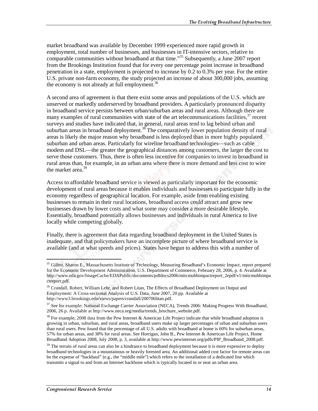market broadband was available by December 1999 experienced more rapid growth in employment, total number of businesses, and businesses in IT-intensive sectors, relative to comparable communities without broadband at that time."35 Subsequently, a June 2007 report from the Brookings Institution found that for every one percentage point increase in broadband penetration in a state, employment is projected to increase by 0.2 to 0.3% per year. For the entire U.S. private non-farm economy, the study projected an increase of about 300,000 jobs, assuming the economy is not already at full employment.<sup>36</sup>

A second area of agreement is that there exist some areas and populations of the U.S. which are unserved or markedly underserved by broadband providers. A particularly pronounced disparity in broadband service persists between urban/suburban areas and rural areas. Although there are many examples of rural communities with state of the art telecommunications facilities,  $37$  recent surveys and studies have indicated that, in general, rural areas tend to lag behind urban and suburban areas in broadband deployment.<sup>38</sup> The comparatively lower population density of rural areas is likely the major reason why broadband is less deployed than in more highly populated suburban and urban areas. Particularly for wireline broadband technologies—such as cable modem and DSL—the greater the geographical distances among customers, the larger the cost to serve those customers. Thus, there is often less incentive for companies to invest in broadband in rural areas than, for example, in an urban area where there is more demand and less cost to wire the market area.<sup>39</sup>

Access to affordable broadband service is viewed as particularly important for the economic development of rural areas because it enables individuals and businesses to participate fully in the economy regardless of geographical location. For example, aside from enabling existing businesses to remain in their rural locations, broadband access could attract and grow new businesses drawn by lower costs and what some may consider a more desirable lifestyle. Essentially, broadband potentially allows businesses and individuals in rural America to live locally while competing globally.

Finally, there is agreement that data regarding broadband deployment in the United States is inadequate, and that policymakers have an incomplete picture of where broadband service is available (and at what speeds and prices). States have begun to address this with a number of

<sup>&</sup>lt;sup>35</sup> Gillett, Sharon E., Massachusetts Institute of Technology, Measuring Broadband's Economic Impact, report prepared for the Economic Development Administration, U.S. Department of Commerce, February 28, 2006, p. 4. Available at http://www.eda.gov/ImageCache/EDAPublic/documents/pdfdocs2006/mitcmubbimpactreport\_2epdf/v1/mitcmubbimpa ctreport.pdf.

<sup>&</sup>lt;sup>36</sup> Crandall, Robert, William Lehr, and Robert Litan, The Effects of Broadband Deployment on Output and Employment: A Cross-sectional Analysis of U.S. Data, June 2007, 20 pp. Available at http://www3.brookings.edu/views/papers/crandall/200706litan.pdf.

<sup>&</sup>lt;sup>37</sup> See for example: National Exchange Carrier Association (NECA), Trends 2006: Making Progress With Broadband, 2006, 26 p. Available at http://www.neca.org/media/trends\_brochure\_website.pdf.

 $38$  For example, 2008 data from the Pew Internet & American Life Project indicate that while broadband adoption is growing in urban, suburban, and rural areas, broadband users make up larger percentages of urban and suburban users than rural users. Pew found that the percentage of all U.S. adults with broadband at home is 60% for suburban areas, 57% for urban areas, and 38% for rural areas. See Horrigan, John B., Pew Internet & American Life Project, Home Broadband Adoption 2008, July 2008, p. 3, available at http://www.pewinternet.org/pdfs/PIP\_Broadband\_2008.pdf.

<sup>&</sup>lt;sup>39</sup> The terrain of rural areas can also be a hindrance to broadband deployment because it is more expensive to deploy broadband technologies in a mountainous or heavily forested area. An additional added cost factor for remote areas can be the expense of "backhaul" (e.g., the "middle mile") which refers to the installation of a dedicated line which transmits a signal to and from an Internet backbone which is typically located in or near an urban area.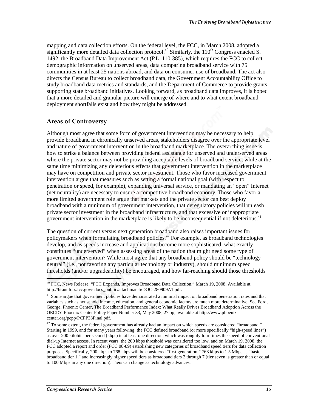mapping and data collection efforts. On the federal level, the FCC, in March 2008, adopted a significantly more detailed data collection protocol.<sup>40</sup> Similarly, the  $110<sup>th</sup>$  Congress enacted S. 1492, the Broadband Data Improvement Act (P.L. 110-385), which requires the FCC to collect demographic information on unserved areas, data comparing broadband service with 75 communities in at least 25 nations abroad, and data on consumer use of broadband. The act also directs the Census Bureau to collect broadband data, the Government Accountability Office to study broadband data metrics and standards, and the Department of Commerce to provide grants supporting state broadband initiatives. Looking forward, as broadband data improves, it is hoped that a more detailed and granular picture will emerge of where and to what extent broadband deployment shortfalls exist and how they might be addressed.

### **Areas of Controversy**

Although most agree that some form of government intervention may be necessary to help provide broadband in chronically unserved areas, stakeholders disagree over the appropriate level and nature of government intervention in the broadband marketplace. The overarching issue is how to strike a balance between providing federal assistance for unserved and underserved areas where the private sector may not be providing acceptable levels of broadband service, while at the same time minimizing any deleterious effects that government intervention in the marketplace may have on competition and private sector investment. Those who favor increased government intervention argue that measures such as setting a formal national goal (with respect to penetration or speed, for example), expanding universal service, or mandating an "open" Internet (net neutrality) are necessary to ensure a competitive broadband economy. Those who favor a more limited government role argue that markets and the private sector can best deploy broadband with a minimum of government intervention, that deregulatory policies will unleash private sector investment in the broadband infrastructure, and that excessive or inappropriate government intervention in the marketplace is likely to be inconsequential if not deleterious.<sup>41</sup>

The question of current versus next generation broadband also raises important issues for policymakers when formulating broadband policies.<sup>42</sup> For example, as broadband technologies develop, and as speeds increase and applications become more sophisticated, what exactly constitutes "underserved" when assessing areas of the nation that might need some type of government intervention? While most agree that any broadband policy should be "technology neutral" (i.e., not favoring any particular technology or industry), should minimum speed thresholds (and/or upgradeability) be encouraged, and how far-reaching should those thresholds

ł <sup>40</sup> FCC, News Release, "FCC Expands, Improves Broadband Data Collection," March 19, 2008. Available at http://hraunfoss.fcc.gov/edocs\_public/attachmatch/DOC-280909A1.pdf.

<sup>&</sup>lt;sup>41</sup> Some argue that government policies have demonstrated a minimal impact on broadband penetration rates and that variables such as household income, education, and general economic factors are much more determinative. See Ford, George, Phoenix Center, The Broadband Performance Index: What Really Drives Broadband Adoption Across the OECD?, Phoenix Center Policy Paper Number 33, May 2008, 27 pp; available at http://www.phoenixcenter.org/pcpp/PCPP33Final.pdf.

 $42$  To some extent, the federal government has already had an impact on which speeds are considered "broadband." Starting in 1999, and for many years following, the FCC defined broadband (or more specifically "high-speed lines") as over 200 kilobits per second (kbps) in at least one direction, which was roughly four times the speed of conventional dial-up Internet access. In recent years, the 200 kbps threshold was considered too low, and on March 19, 2008, the FCC adopted a report and order (FCC 08-89) establishing new categories of broadband speed tiers for data collection purposes. Specifically, 200 kbps to 768 kbps will be considered "first generation," 768 kbps to 1.5 Mbps as "basic broadband tier 1," and increasingly higher speed tiers as broadband tiers 2 through 7 (tier seven is greater than or equal to 100 Mbps in any one direction). Tiers can change as technology advances.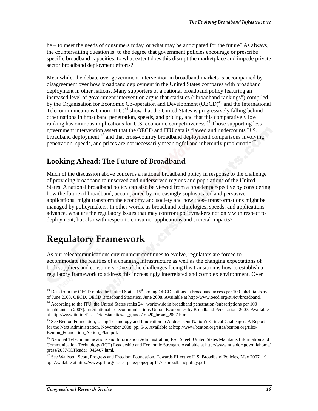be – to meet the needs of consumers today, or what may be anticipated for the future? As always, the countervailing question is: to the degree that government policies encourage or prescribe specific broadband capacities, to what extent does this disrupt the marketplace and impede private sector broadband deployment efforts?

Meanwhile, the debate over government intervention in broadband markets is accompanied by disagreement over how broadband deployment in the United States compares with broadband deployment in other nations. Many supporters of a national broadband policy featuring an increased level of government intervention argue that statistics ("broadband rankings") compiled by the Organisation for Economic Co-operation and Development (OECD)<sup>43</sup> and the International Telecommunications Union  $(ITU)^{44}$  show that the United States is progressively falling behind other nations in broadband penetration, speeds, and pricing, and that this comparatively low ranking has ominous implications for U.S. economic competitiveness.<sup>45</sup> Those supporting less government intervention assert that the OECD and ITU data is flawed and undercounts U.S. broadband deployment,<sup>46</sup> and that cross-country broadband deployment comparisons involving penetration, speeds, and prices are not necessarily meaningful and inherently problematic.<sup>47</sup>

## Looking Ahead: The Future of Broadband

Much of the discussion above concerns a national broadband policy in response to the challenge of providing broadband to unserved and underserved regions and populations of the United States. A national broadband policy can also be viewed from a broader perspective by considering how the future of broadband, accompanied by increasingly sophisticated and pervasive applications, might transform the economy and society and how those transformations might be managed by policymakers. In other words, as broadband technologies, speeds, and applications advance, what are the regulatory issues that may confront policymakers not only with respect to deployment, but also with respect to consumer applications and societal impacts?

# Regulatory Framework

As our telecommunications environment continues to evolve, regulators are forced to accommodate the realities of a changing infrastructure as well as the changing expectations of both suppliers and consumers. One of the challenges facing this transition is how to establish a regulatory framework to address this increasingly interrelated and complex environment. Over

 $\overline{a}$  $^{43}$  Data from the OECD ranks the United States 15<sup>th</sup> among OECD nations in broadband access per 100 inhabitants as of June 2008. OECD, OECD Broadband Statistics, June 2008. Available at http://www.oecd.org/sti/ict/broadband.

<sup>&</sup>lt;sup>44</sup> According to the ITU, the United States ranks  $24<sup>th</sup>$  worldwide in broadband penetration (subscriptions per 100 inhabitants in 2007). International Telecommunications Union, Economies by Broadband Penetration, 2007. Available at http://www.itu.int/ITU-D/ict/statistics/at\_glance/top20\_broad\_2007.html.

<sup>&</sup>lt;sup>45</sup> See Benton Foundation, Using Technology and Innovation to Address Our Nation's Critical Challenges: A Report for the Next Administration, November 2008, pp. 5-6. Available at http://www.benton.org/sites/benton.org/files/ Benton\_Foundation\_Action\_Plan.pdf.

<sup>46</sup> National Telecommunications and Information Administration, Fact Sheet: United States Maintains Information and Communication Technology (ICT) Leadership and Economic Strength. Available at http://www.ntia.doc.gov/ntiahome/ press/2007/ICTleader\_042407.html.

 $^{47}$  See Wallsten, Scott, Progress and Freedom Foundation, Towards Effective U.S. Broadband Policies, May 2007, 19 pp. Available at http://www.pff.org/issues-pubs/pops/pop14.7usbroadbandpolicy.pdf.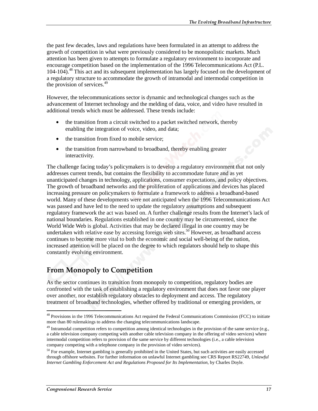the past few decades, laws and regulations have been formulated in an attempt to address the growth of competition in what were previously considered to be monopolistic markets. Much attention has been given to attempts to formulate a regulatory environment to incorporate and encourage competition based on the implementation of the 1996 Telecommunications Act (P.L. 104-104).48 This act and its subsequent implementation has largely focused on the development of a regulatory structure to accommodate the growth of intramodal and intermodal competition in the provision of services. $49$ 

However, the telecommunications sector is dynamic and technological changes such as the advancement of Internet technology and the melding of data, voice, and video have resulted in additional trends which must be addressed. These trends include:

- the transition from a circuit switched to a packet switched network, thereby enabling the integration of voice, video, and data;
- the transition from fixed to mobile service;
- the transition from narrowband to broadband, thereby enabling greater interactivity.

The challenge facing today's policymakers is to develop a regulatory environment that not only addresses current trends, but contains the flexibility to accommodate future and as yet unanticipated changes in technology, applications, consumer expectations, and policy objectives. The growth of broadband networks and the proliferation of applications and devices has placed increasing pressure on policymakers to formulate a framework to address a broadband-based world. Many of these developments were not anticipated when the 1996 Telecommunications Act was passed and have led to the need to update the regulatory assumptions and subsequent regulatory framework the act was based on. A further challenge results from the Internet's lack of national boundaries. Regulations established in one country may be circumvented, since the World Wide Web is global. Activities that may be declared illegal in one country may be undertaken with relative ease by accessing foreign web sites.<sup>50</sup> However, as broadband access continues to become more vital to both the economic and social well-being of the nation, increased attention will be placed on the degree to which regulators should help to shape this constantly evolving environment.

## From Monopoly to Competition

As the sector continues its transition from monopoly to competition, regulatory bodies are confronted with the task of establishing a regulatory environment that does not favor one player over another, nor establish regulatory obstacles to deployment and access. The regulatory treatment of broadband technologies, whether offered by traditional or emerging providers, or

 $\overline{a}$ <sup>48</sup> Provisions in the 1996 Telecommunications Act required the Federal Communications Commission (FCC) to initiate more than 80 rulemakings to address the changing telecommunications landscape.

 $49$  Intramodal competition refers to competition among identical technologies in the provision of the same service (e.g., a cable television company competing with another cable television company in the offering of video services) where intermodal competition refers to provision of the same service by different technologies (i.e., a cable television company competing with a telephone company in the provision of video services).

<sup>&</sup>lt;sup>50</sup> For example, Internet gambling is generally prohibited in the United States, but such activities are easily accessed through offshore websites. For further information on unlawful Internet gambling see CRS Report RS22749, *Unlawful Internet Gambling Enforcement Act and Regulations Proposed for Its Implementation*, by Charles Doyle.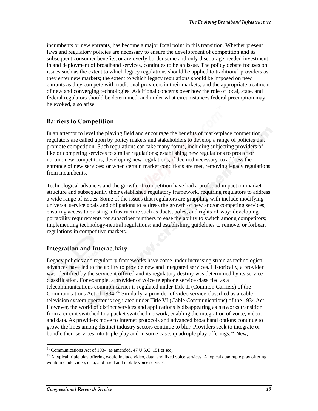incumbents or new entrants, has become a major focal point in this transition. Whether present laws and regulatory policies are necessary to ensure the development of competition and its subsequent consumer benefits, or are overly burdensome and only discourage needed investment in and deployment of broadband services, continues to be an issue. The policy debate focuses on issues such as the extent to which legacy regulations should be applied to traditional providers as they enter new markets; the extent to which legacy regulations should be imposed on new entrants as they compete with traditional providers in their markets; and the appropriate treatment of new and converging technologies. Additional concerns over how the role of local, state, and federal regulators should be determined, and under what circumstances federal preemption may be evoked, also arise.

### **Barriers to Competition**

In an attempt to level the playing field and encourage the benefits of marketplace competition, regulators are called upon by policy makers and stakeholders to develop a range of policies that promote competition. Such regulations can take many forms, including subjecting providers of like or competing services to similar regulations; establishing new regulations to protect or nurture new competitors; developing new regulations, if deemed necessary, to address the entrance of new services; or when certain market conditions are met, removing legacy regulations from incumbents.

Technological advances and the growth of competition have had a profound impact on market structure and subsequently their established regulatory framework, requiring regulators to address a wide range of issues. Some of the issues that regulators are grappling with include modifying universal service goals and obligations to address the growth of new and/or competing services; ensuring access to existing infrastructure such as ducts, poles, and rights-of-way; developing portability requirements for subscriber numbers to ease the ability to switch among competitors; implementing technology-neutral regulations; and establishing guidelines to remove, or forbear, regulations in competitive markets.

### **Integration and Interactivity**

Legacy policies and regulatory frameworks have come under increasing strain as technological advances have led to the ability to provide new and integrated services. Historically, a provider was identified by the service it offered and its regulatory destiny was determined by its service classification. For example, a provider of voice telephone service classified as a telecommunications common carrier is regulated under Title II (Common Carriers) of the Communications Act of 1934.<sup>51</sup> Similarly, a provider of video service classified as a cable television system operator is regulated under Title VI (Cable Communications) of the 1934 Act. However, the world of distinct services and applications is disappearing as networks transition from a circuit switched to a packet switched network, enabling the integration of voice, video, and data. As providers move to Internet protocols and advanced broadband options continue to grow, the lines among distinct industry sectors continue to blur. Providers seek to integrate or bundle their services into triple play and in some cases quadruple play offerings.<sup>52</sup> New,

<sup>51</sup> Communications Act of 1934, as amended, 47 U.S.C. 151 et seq.

 $52$  A typical triple play offering would include video, data, and fixed voice services. A typical quadruple play offering would include video, data, and fixed and mobile voice services.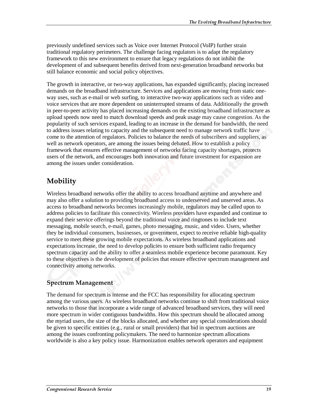previously undefined services such as Voice over Internet Protocol (VoIP) further strain traditional regulatory perimeters. The challenge facing regulators is to adapt the regulatory framework to this new environment to ensure that legacy regulations do not inhibit the development of and subsequent benefits derived from next-generation broadband networks but still balance economic and social policy objectives.

The growth in interactive, or two-way applications, has expanded significantly, placing increased demands on the broadband infrastructure. Services and applications are moving from static oneway uses, such as e-mail or web surfing, to interactive two-way applications such as video and voice services that are more dependent on uninterrupted streams of data. Additionally the growth in peer-to-peer activity has placed increasing demands on the existing broadband infrastructure as upload speeds now need to match download speeds and peak usage may cause congestion. As the popularity of such services expand, leading to an increase in the demand for bandwidth, the need to address issues relating to capacity and the subsequent need to manage network traffic have come to the attention of regulators. Policies to balance the needs of subscribers and suppliers, as well as network operators, are among the issues being debated. How to establish a policy framework that ensures effective management of networks facing capacity shortages, protects users of the network, and encourages both innovation and future investment for expansion are among the issues under consideration.

## Mobility

Wireless broadband networks offer the ability to access broadband anytime and anywhere and may also offer a solution to providing broadband access to underserved and unserved areas. As access to broadband networks becomes increasingly mobile, regulators may be called upon to address policies to facilitate this connectivity. Wireless providers have expanded and continue to expand their service offerings beyond the traditional voice and ringtones to include text messaging, mobile search, e-mail, games, photo messaging, music, and video. Users, whether they be individual consumers, businesses, or government, expect to receive reliable high-quality service to meet these growing mobile expectations. As wireless broadband applications and expectations increase, the need to develop policies to ensure both sufficient radio frequency spectrum capacity and the ability to offer a seamless mobile experience become paramount. Key to these objectives is the development of policies that ensure effective spectrum management and connectivity among networks.

### **Spectrum Management**

The demand for spectrum is intense and the FCC has responsibility for allocating spectrum among the various users. As wireless broadband networks continue to shift from traditional voice networks to those that incorporate a wide range of advanced broadband services, they will need more spectrum in wider contiguous bandwidths. How this spectrum should be allocated among the myriad users, the size of the blocks allocated, and whether any special considerations should be given to specific entities (e.g., rural or small providers) that bid in spectrum auctions are among the issues confronting policymakers. The need to harmonize spectrum allocations worldwide is also a key policy issue. Harmonization enables network operators and equipment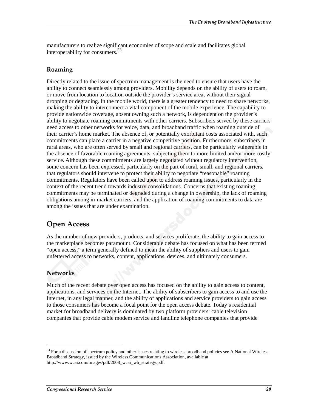manufacturers to realize significant economies of scope and scale and facilitates global interoperability for consumers.<sup>53</sup>

### Roaming

Directly related to the issue of spectrum management is the need to ensure that users have the ability to connect seamlessly among providers. Mobility depends on the ability of users to roam, or move from location to location outside the provider's service area, without their signal dropping or degrading. In the mobile world, there is a greater tendency to need to share networks, making the ability to interconnect a vital component of the mobile experience. The capability to provide nationwide coverage, absent owning such a network, is dependent on the provider's ability to negotiate roaming commitments with other carriers. Subscribers served by these carriers need access to other networks for voice, data, and broadband traffic when roaming outside of their carrier's home market. The absence of, or potentially exorbitant costs associated with, such commitments can place a carrier in a negative competitive position. Furthermore, subscribers in rural areas, who are often served by small and regional carriers, can be particularly vulnerable in the absence of favorable roaming agreements, subjecting them to more limited and/or more costly service. Although these commitments are largely negotiated without regulatory intervention, some concern has been expressed, particularly on the part of rural, small, and regional carriers, that regulators should intervene to protect their ability to negotiate "reasonable" roaming commitments. Regulators have been called upon to address roaming issues, particularly in the context of the recent trend towards industry consolidations. Concerns that existing roaming commitments may be terminated or degraded during a change in ownership, the lack of roaming obligations among in-market carriers, and the application of roaming commitments to data are among the issues that are under examination.

## **Open Access**

As the number of new providers, products, and services proliferate, the ability to gain access to the marketplace becomes paramount. Considerable debate has focused on what has been termed "open access," a term generally defined to mean the ability of suppliers and users to gain unfettered access to networks, content, applications, devices, and ultimately consumers.

### **Networks**

 $\overline{a}$ 

Much of the recent debate over open access has focused on the ability to gain access to content, applications, and services on the Internet. The ability of subscribers to gain access to and use the Internet, in any legal manner, and the ability of applications and service providers to gain access to those consumers has become a focal point for the open access debate. Today's residential market for broadband delivery is dominated by two platform providers: cable television companies that provide cable modem service and landline telephone companies that provide

<sup>&</sup>lt;sup>53</sup> For a discussion of spectrum policy and other issues relating to wireless broadband policies see A National Wireless Broadband Strategy, issued by the Wireless Communications Association, available at http://www.wcai.com/images/pdf/2008\_wcai\_wb\_strategy.pdf.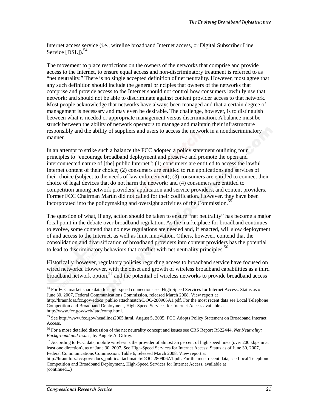Internet access service (i.e., wireline broadband Internet access, or Digital Subscriber Line Service [DSL]).<sup>54</sup>

The movement to place restrictions on the owners of the networks that comprise and provide access to the Internet, to ensure equal access and non-discriminatory treatment is referred to as "net neutrality." There is no single accepted definition of net neutrality. However, most agree that any such definition should include the general principles that owners of the networks that comprise and provide access to the Internet should not control how consumers lawfully use that network; and should not be able to discriminate against content provider access to that network. Most people acknowledge that networks have always been managed and that a certain degree of management is necessary and may even be desirable. The challenge, however, is to distinguish between what is needed or appropriate management versus discrimination. A balance must be struck between the ability of network operators to manage and maintain their infrastructure responsibly and the ability of suppliers and users to access the network in a nondiscriminatory manner.

In an attempt to strike such a balance the FCC adopted a policy statement outlining four principles to "encourage broadband deployment and preserve and promote the open and interconnected nature of [the] public Internet": (1) consumers are entitled to access the lawful Internet content of their choice; (2) consumers are entitled to run applications and services of their choice (subject to the needs of law enforcement); (3) consumers are entitled to connect their choice of legal devices that do not harm the network; and (4) consumers are entitled to competition among network providers, application and service providers, and content providers. Former FCC Chairman Martin did not called for their codification. However, they have been incorporated into the policymaking and oversight activities of the Commission.<sup>55</sup>

The question of what, if any, action should be taken to ensure "net neutrality" has become a major focal point in the debate over broadband regulation. As the marketplace for broadband continues to evolve, some contend that no new regulations are needed and, if enacted, will slow deployment of and access to the Internet, as well as limit innovation. Others, however, contend that the consolidation and diversification of broadband providers into content providers has the potential to lead to discriminatory behaviors that conflict with net neutrality principles.<sup>56</sup>

Historically, however, regulatory policies regarding access to broadband service have focused on wired networks. However, with the onset and growth of wireless broadband capabilities as a third broadband network option, $57$  and the potential of wireless networks to provide broadband access

 $\overline{a}$ <sup>54</sup> For FCC market share data for high-speed connections see High-Speed Services for Internet Access: Status as of June 30, 2007, Federal Communications Commission, released March 2008. View report at

http://hraunfoss.fcc.gov/edocs\_public/attachmatch/DOC-280906A1.pdf. For the most recent data see Local Telephone Competition and Broadband Deployment, High-Speed Services for Internet Access available at http://www.fcc.gov/wcb/iatd/comp.html.

<sup>55</sup> See http://www.fcc.gov/headlines2005.html. August 5, 2005. FCC Adopts Policy Statement on Broadband Internet Access.

<sup>56</sup> For a more detailed discussion of the net neutrality concept and issues see CRS Report RS22444, *Net Neutrality: Background and Issues*, by Angele A. Gilroy.

 $57$  According to FCC data, mobile wireless is the provider of almost 35 percent of high speed lines (over 200 kbps in at least one direction), as of June 30, 2007. See High-Speed Services for Internet Access: Status as of June 30, 2007, Federal Communications Commission, Table 6, released March 2008. View report at

http://hraunfoss.fcc.gov/edocs\_public/attachmatch/DOC-280906A1.pdf. For the most recent data, see Local Telephone Competition and Broadband Deployment, High-Speed Services for Internet Access, available at (continued...)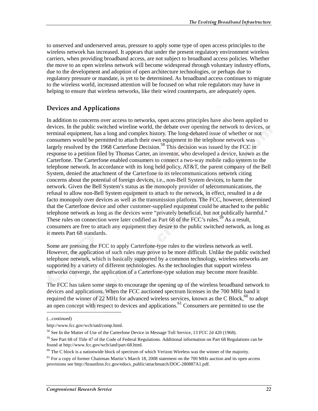to unserved and underserved areas, pressure to apply some type of open access principles to the wireless network has increased. It appears that under the present regulatory environment wireless carriers, when providing broadband access, are not subject to broadband access policies. Whether the move to an open wireless network will become widespread through voluntary industry efforts, due to the development and adoption of open architecture technologies, or perhaps due to regulatory pressure or mandate, is yet to be determined. As broadband access continues to migrate to the wireless world, increased attention will be focused on what role regulators may have in helping to ensure that wireless networks, like their wired counterparts, are adequately open.

### **Devices and Applications**

In addition to concerns over access to networks, open access principles have also been applied to devices. In the public switched wireline world, the debate over opening the network to devices, or terminal equipment, has a long and complex history. The long-debated issue of whether or not consumers would be permitted to attach their own equipment to the telephone network was largely resolved by the 1968 Carterfone Decision.<sup>58</sup> This decision was issued by the FCC in response to a petition filed by Thomas Carter, an inventor, who developed a device, known as the Carterfone. The Carterfone enabled consumers to connect a two-way mobile radio system to the telephone network. In accordance with its long held policy, AT&T, the parent company of the Bell System, denied the attachment of the Carterfone to its telecommunications network citing concerns about the potential of foreign devices, i.e., non-Bell System devices, to harm the network. Given the Bell System's status as the monopoly provider of telecommunications, the refusal to allow non-Bell System equipment to attach to the network, in effect, resulted in a de facto monopoly over devices as well as the transmission platform. The FCC, however, determined that the Carterfone device and other customer-supplied equipment could be attached to the public telephone network as long as the devices were "privately beneficial, but not publically harmful." These rules on connection were later codified as Part 68 of the FCC's rules.<sup>59</sup> As a result, consumers are free to attach any equipment they desire to the public switched network, as long as it meets Part 68 standards.

Some are pressing the FCC to apply Carterfone-type rules to the wireless network as well. However, the application of such rules may prove to be more difficult. Unlike the public switched telephone network, which is basically supported by a common technology, wireless networks are supported by a variety of different technologies. As the technologies that support wireless networks converge, the application of a Carterfone-type solution may become more feasible.

The FCC has taken some steps to encourage the opening up of the wireless broadband network to devices and applications. When the FCC auctioned spectrum licenses in the 700 MHz band it required the winner of 22 MHz for advanced wireless services, known as the C Block,<sup>60</sup> to adopt an open concept with respect to devices and applications.<sup>61</sup> Consumers are permitted to use the

j

<sup>(...</sup>continued)

http://www.fcc.gov/wcb/iatd/comp.html.

<sup>58</sup> See In the Matter of Use of the Carterfone Device in Message Toll Service, 13 FCC 2d 420 (1968).

 $59$  See Part 68 of Title 47 of the Code of Federal Regulations. Additional information on Part 68 Regulations can be found at http://www.fcc.gov/wcb/iatd/part-68.html.

 $60$  The C block is a nationwide block of spectrum of which Verizon Wireless was the winner of the majority.

<sup>&</sup>lt;sup>61</sup> For a copy of former Chairman Martin's March 18, 2008 statement on the 700 MHz auction and its open access provisions see http://hraunfoss.fcc.gov/edocs\_public/attachmatch/DOC-280887A1.pdf.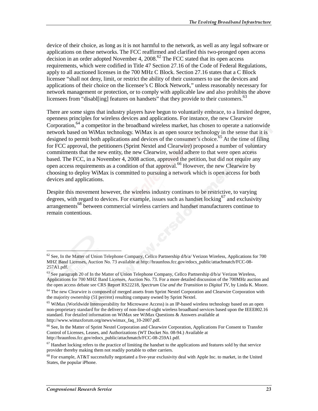device of their choice, as long as it is not harmful to the network, as well as any legal software or applications on these networks. The FCC reaffirmed and clarified this two-pronged open access decision in an order adopted November 4,  $2008$ .<sup>62</sup> The FCC stated that its open access requirements, which were codified in Title 47 Section 27.16 of the Code of Federal Regulations, apply to all auctioned licenses in the 700 MHz C Block. Section 27.16 states that a C Block licensee "shall not deny, limit, or restrict the ability of their customers to use the devices and applications of their choice on the licensee's C Block Network," unless reasonably necessary for network management or protection, or to comply with applicable law and also prohibits the above licensees from "disabl[ing] features on handsets" that they provide to their customers.<sup>63</sup>

There are some signs that industry players have begun to voluntarily embrace, to a limited degree, openness principles for wireless devices and applications. For instance, the new Clearwire Corporation,  $64$  a competitor in the broadband wireless market, has chosen to operate a nationwide network based on WiMax technology. WiMax is an open source technology in the sense that it is designed to permit both applications and devices of the consumer's choice.<sup>65</sup> At the time of filing for FCC approval, the petitioners (Sprint Nextel and Clearwire) proposed a number of voluntary commitments that the new entity, the new Clearwire, would adhere to that were open access based. The FCC, in a November 4, 2008 action, approved the petition, but did not require any open access requirements as a condition of that approval.66 However, the new Clearwire by choosing to deploy WiMax is committed to pursuing a network which is open access for both devices and applications.

Despite this movement however, the wireless industry continues to be restrictive, to varying degrees, with regard to devices. For example, issues such as handset locking<sup>67</sup> and exclusivity arrangements<sup>68</sup> between commercial wireless carriers and handset manufacturers continue to remain contentious.

 $62$  See, In the Matter of Union Telephone Company, Cellco Partnership d/b/a/ Verizon Wireless, Applications for 700 MHZ Band Licenses, Auction No. 73 available at http://hraunfoss.fcc.gov/edocs\_public/attachmatch/FCC-08- 257A1.pdf.

<sup>&</sup>lt;sup>63</sup> See paragraph 20 of In the Matter of Union Telephone Company, Cellco Partnership d/b/a/ Verizon Wireless, Applications for 700 MHZ Band Licenses, Auction No. 73. For a more detailed discussion of the 700MHz auction and the open access debate see CRS Report RS22218, *Spectrum Use and the Transition to Digital TV*, by Linda K. Moore.

<sup>&</sup>lt;sup>64</sup> The new Clearwire is composed of merged assets from Sprint Nextel Corporation and Clearwire Corporation with the majority ownership (51 percent) resulting company owned by Sprint Nextel.

<sup>&</sup>lt;sup>65</sup> WiMax (Worldwide Interoperability for Microwave Access) is an IP-based wireless technology based on an open non-proprietary standard for the delivery of non-line-of-sight wireless broadband services based upon the IEEE802.16 standard. For detailed information on WiMax see WiMax Questions & Answers available at http://www.wimaxforum.org/news/wimax\_faq\_10-2007.pdf.

<sup>66</sup> See, In the Matter of Sprint Nextel Corporation and Clearwire Corporation, Applications For Consent to Transfer Control of Licenses, Leases, and Authorizations (WT Docket No. 08-94.) Available at http://hraunfoss.fcc.gov/edocs\_public/attachmatch/FCC-08-259A1.pdf.

 $67$  Handset locking refers to the practice of limiting the handset to the applications and features sold by that service provider thereby making them not readily portable to other carriers.

 $68$  For example, AT&T successfully negotiated a five-year exclusivity deal with Apple Inc. to market, in the United States, the popular iPhone.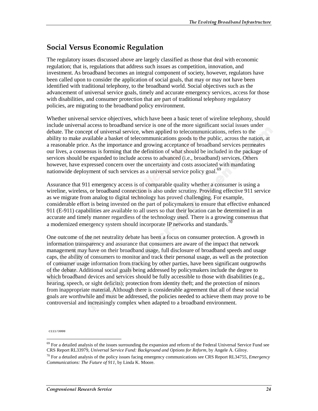## Social Versus Economic Regulation

The regulatory issues discussed above are largely classified as those that deal with economic regulation; that is, regulations that address such issues as competition, innovation, and investment. As broadband becomes an integral component of society, however, regulators have been called upon to consider the application of social goals, that may or may not have been identified with traditional telephony, to the broadband world. Social objectives such as the advancement of universal service goals, timely and accurate emergency services, access for those with disabilities, and consumer protection that are part of traditional telephony regulatory policies, are migrating to the broadband policy environment.

Whether universal service objectives, which have been a basic tenet of wireline telephony, should include universal access to broadband service is one of the more significant social issues under debate. The concept of universal service, when applied to telecommunications, refers to the ability to make available a basket of telecommunications goods to the public, across the nation, at a reasonable price. As the importance and growing acceptance of broadband services permeates our lives, a consensus is forming that the definition of what should be included in the package of services should be expanded to include access to advanced (i.e., broadband) services. Others however, have expressed concern over the uncertainty and costs associated with mandating nationwide deployment of such services as a universal service policy goal.<sup>69</sup>

Assurance that 911 emergency access is of comparable quality whether a consumer is using a wireline, wireless, or broadband connection is also under scrutiny. Providing effective 911 service as we migrate from analog to digital technology has proved challenging. For example, considerable effort is being invested on the part of policymakers to ensure that effective enhanced 911 (E-911) capabilities are available to all users so that their location can be determined in an accurate and timely manner regardless of the technology used. There is a growing consensus that a modernized emergency system should incorporate IP networks and standards.<sup>70</sup>

One outcome of the net neutrality debate has been a focus on consumer protection. A growth in information transparency and assurance that consumers are aware of the impact that network management may have on their broadband usage, full disclosure of broadband speeds and usage caps, the ability of consumers to monitor and track their personal usage, as well as the protection of consumer usage information from tracking by other parties, have been significant outgrowths of the debate. Additional social goals being addressed by policymakers include the degree to which broadband devices and services should be fully accessible to those with disabilities (e.g., hearing, speech, or sight deficits); protection from identity theft; and the protection of minors from inappropriate material. Although there is considerable agreement that all of these social goals are worthwhile and must be addressed, the policies needed to achieve them may prove to be controversial and increasingly complex when adapted to a broadband environment.

c11173008

 $\overline{a}$  $69$  For a detailed analysis of the issues surrounding the expansion and reform of the Federal Universal Service Fund see CRS Report RL33979, *Universal Service Fund: Background and Options for Reform*, by Angele A. Gilroy.

<sup>70</sup> For a detailed analysis of the policy issues facing emergency communications see CRS Report RL34755, *Emergency Communications: The Future of 911*, by Linda K. Moore.